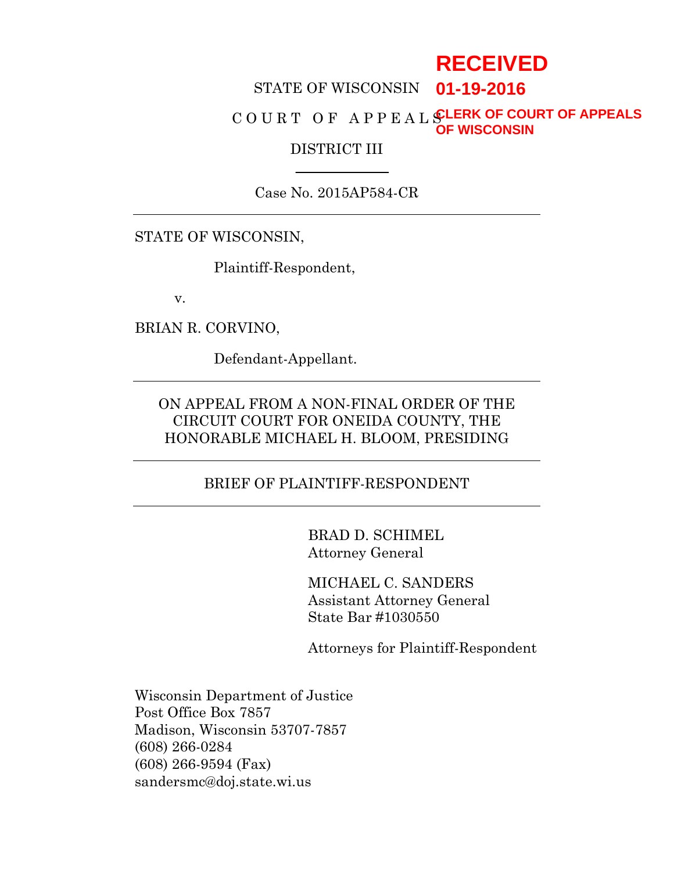# **RECEIVED**

#### STATE OF WISCONSIN **01-19-2016**

#### C O U R T O F A P P E A L SLERK OF COURT OF APPEALS **OF WISCONSIN**

#### DISTRICT III

Case No. 2015AP584-CR

STATE OF WISCONSIN,

Plaintiff-Respondent,

v.

BRIAN R. CORVINO,

Defendant-Appellant.

# ON APPEAL FROM A NON-FINAL ORDER OF THE CIRCUIT COURT FOR ONEIDA COUNTY, THE HONORABLE MICHAEL H. BLOOM, PRESIDING

#### BRIEF OF PLAINTIFF-RESPONDENT

BRAD D. SCHIMEL Attorney General

MICHAEL C. SANDERS Assistant Attorney General State Bar #1030550

Attorneys for Plaintiff-Respondent

Wisconsin Department of Justice Post Office Box 7857 Madison, Wisconsin 53707-7857 (608) 266-0284 (608) 266-9594 (Fax) sandersmc@doj.state.wi.us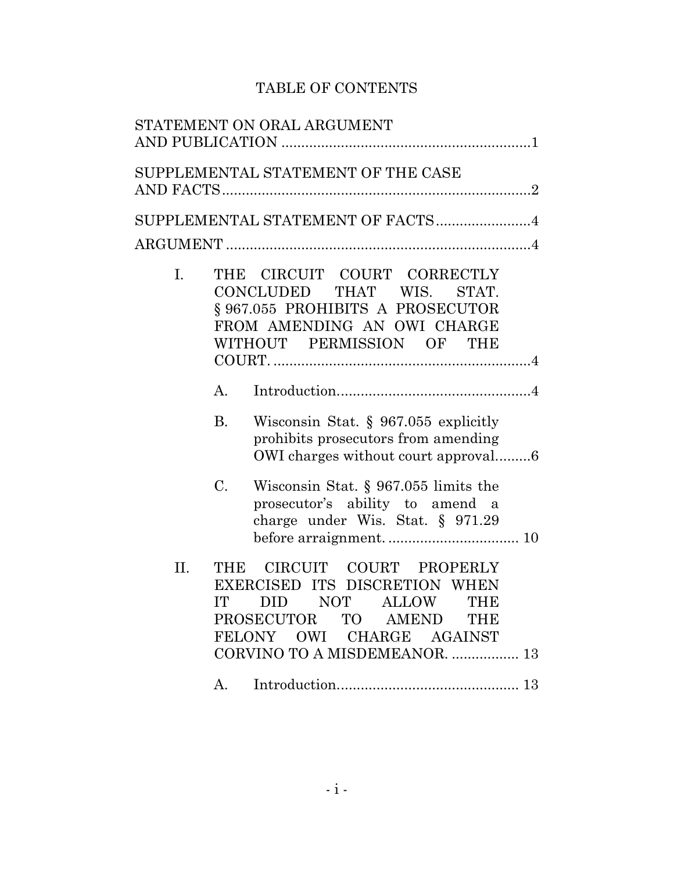# TABLE OF CONTENTS

|     | STATEMENT ON ORAL ARGUMENT                                                                                                                                                                          |
|-----|-----------------------------------------------------------------------------------------------------------------------------------------------------------------------------------------------------|
|     | SUPPLEMENTAL STATEMENT OF THE CASE                                                                                                                                                                  |
|     | SUPPLEMENTAL STATEMENT OF FACTS 4                                                                                                                                                                   |
|     |                                                                                                                                                                                                     |
| I.  | THE CIRCUIT COURT CORRECTLY<br>CONCLUDED THAT WIS.<br>STAT.<br>§967.055 PROHIBITS A PROSECUTOR<br>FROM AMENDING AN OWI CHARGE<br>WITHOUT PERMISSION OF THE                                          |
|     | A.                                                                                                                                                                                                  |
|     | <b>B.</b><br>Wisconsin Stat. § 967.055 explicitly<br>prohibits prosecutors from amending<br>OWI charges without court approval6                                                                     |
|     | C.<br>Wisconsin Stat. $\S 967.055$ limits the<br>prosecutor's ability to amend a<br>charge under Wis. Stat. $\S$ 971.29                                                                             |
| II. | CIRCUIT COURT PROPERLY<br><b>THE</b><br>EXERCISED ITS DISCRETION WHEN<br>DID NOT ALLOW THE<br>IT<br>PROSECUTOR TO AMEND<br><b>THE</b><br>FELONY OWI CHARGE AGAINST<br>CORVINO TO A MISDEMEANOR.  13 |
|     | A.                                                                                                                                                                                                  |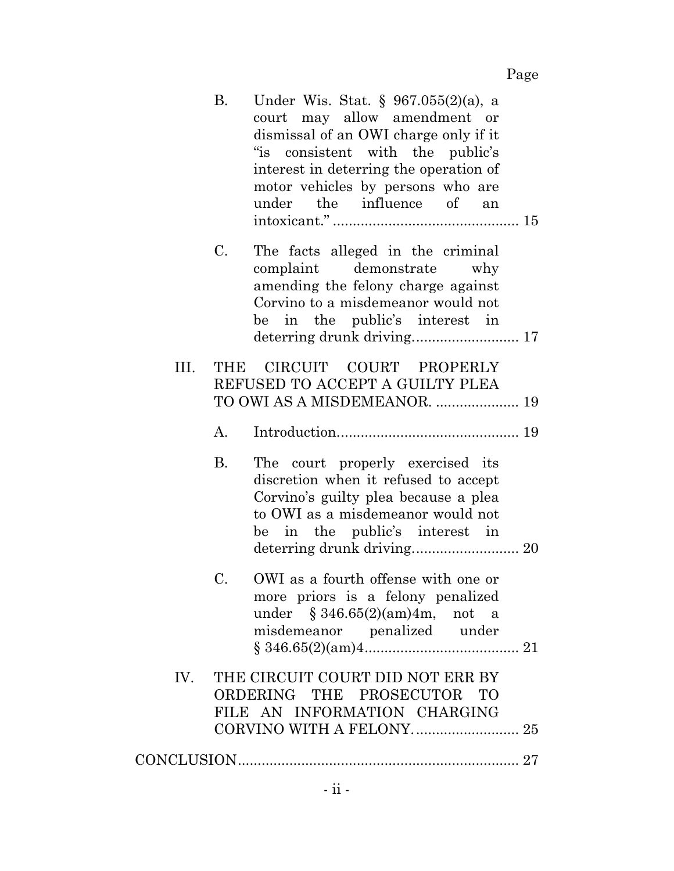|      | Β.        | Under Wis. Stat. $\S 967.055(2)(a)$ , a<br>court may allow amendment or<br>dismissal of an OWI charge only if it<br>"is consistent with the public's<br>interest in deterring the operation of<br>motor vehicles by persons who are<br>under the influence of<br>an |
|------|-----------|---------------------------------------------------------------------------------------------------------------------------------------------------------------------------------------------------------------------------------------------------------------------|
|      | C.        | The facts alleged in the criminal<br>demonstrate<br>complaint<br>why<br>amending the felony charge against<br>Corvino to a misdemeanor would not<br>be in the public's interest in                                                                                  |
| III. | THE       | CIRCUIT COURT PROPERLY<br>REFUSED TO ACCEPT A GUILTY PLEA<br>TO OWI AS A MISDEMEANOR.  19                                                                                                                                                                           |
|      | А.        |                                                                                                                                                                                                                                                                     |
|      | <b>B.</b> | The court properly exercised its<br>discretion when it refused to accept<br>Corvino's guilty plea because a plea<br>to OWI as a misdemeanor would not<br>be in the public's interest in<br>deterring drunk driving 20                                               |
|      | C.        | OWI as a fourth offense with one or<br>more priors is a felony penalized<br>under $$346.65(2)(am)4m$ , not a<br>misdemeanor penalized under                                                                                                                         |
| IV.  |           | THE CIRCUIT COURT DID NOT ERR BY<br>ORDERING THE PROSECUTOR TO<br>FILE AN INFORMATION CHARGING                                                                                                                                                                      |
|      |           |                                                                                                                                                                                                                                                                     |
|      |           |                                                                                                                                                                                                                                                                     |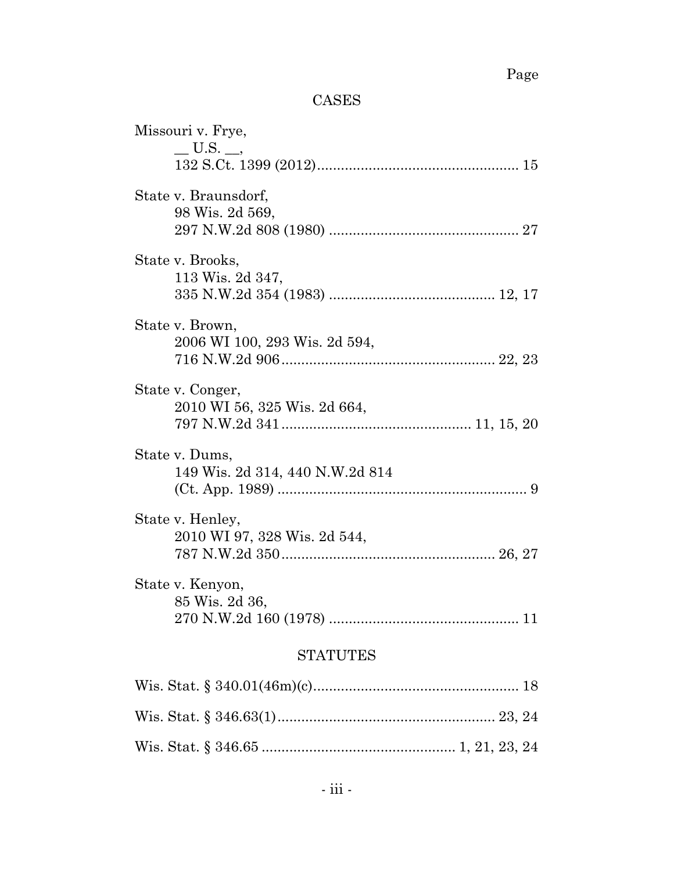# Page

# CASES

| Missouri v. Frye,                                 |  |  |  |
|---------------------------------------------------|--|--|--|
| $\_\,$ U.S. $\_\,$                                |  |  |  |
| State v. Braunsdorf,<br>98 Wis. 2d 569,           |  |  |  |
| State v. Brooks,<br>113 Wis. 2d 347,              |  |  |  |
| State v. Brown,<br>2006 WI 100, 293 Wis. 2d 594,  |  |  |  |
| State v. Conger,<br>2010 WI 56, 325 Wis. 2d 664,  |  |  |  |
| State v. Dums,<br>149 Wis. 2d 314, 440 N.W.2d 814 |  |  |  |
| State v. Henley,<br>2010 WI 97, 328 Wis. 2d 544,  |  |  |  |
| State v. Kenyon,<br>85 Wis. 2d 36,                |  |  |  |
| <b>STATUTES</b>                                   |  |  |  |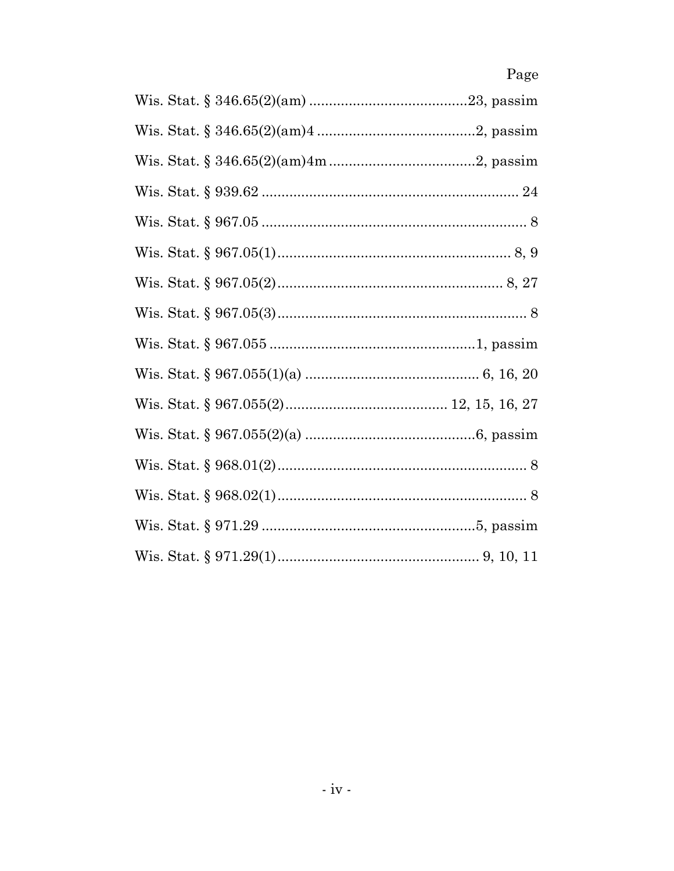# Page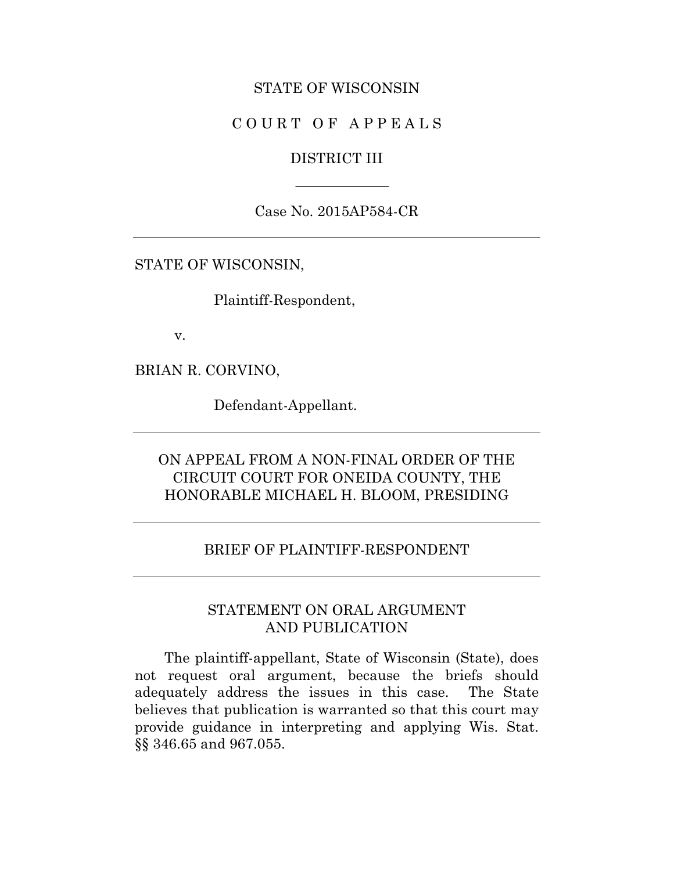#### STATE OF WISCONSIN

### COURT OF APPEALS

#### DISTRICT III

Case No. 2015AP584-CR

STATE OF WISCONSIN,

Plaintiff-Respondent,

v.

BRIAN R. CORVINO,

Defendant-Appellant.

# ON APPEAL FROM A NON-FINAL ORDER OF THE CIRCUIT COURT FOR ONEIDA COUNTY, THE HONORABLE MICHAEL H. BLOOM, PRESIDING

#### BRIEF OF PLAINTIFF-RESPONDENT

### STATEMENT ON ORAL ARGUMENT AND PUBLICATION

The plaintiff-appellant, State of Wisconsin (State), does not request oral argument, because the briefs should adequately address the issues in this case. The State believes that publication is warranted so that this court may provide guidance in interpreting and applying Wis. Stat. §§ 346.65 and 967.055.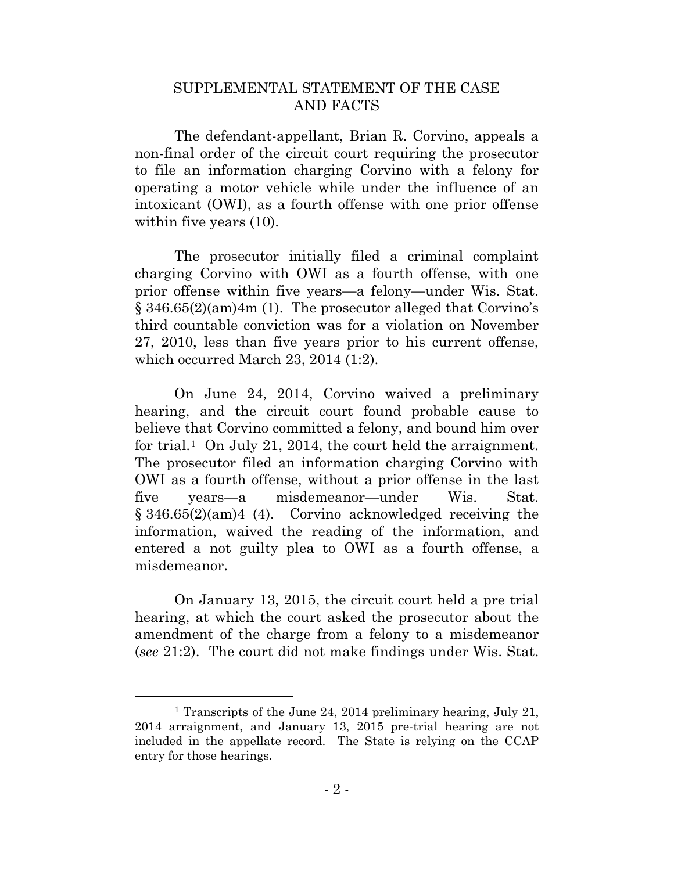### SUPPLEMENTAL STATEMENT OF THE CASE AND FACTS

The defendant-appellant, Brian R. Corvino, appeals a non-final order of the circuit court requiring the prosecutor to file an information charging Corvino with a felony for operating a motor vehicle while under the influence of an intoxicant (OWI), as a fourth offense with one prior offense within five years  $(10)$ .

The prosecutor initially filed a criminal complaint charging Corvino with OWI as a fourth offense, with one prior offense within five years—a felony—under Wis. Stat. § 346.65(2)(am)4m (1). The prosecutor alleged that Corvino's third countable conviction was for a violation on November 27, 2010, less than five years prior to his current offense, which occurred March 23, 2014 (1:2).

On June 24, 2014, Corvino waived a preliminary hearing, and the circuit court found probable cause to believe that Corvino committed a felony, and bound him over for trial.<sup>1</sup> On July 21, 2014, the court held the arraignment. The prosecutor filed an information charging Corvino with OWI as a fourth offense, without a prior offense in the last five years—a misdemeanor—under Wis. Stat. § 346.65(2)(am)4 (4). Corvino acknowledged receiving the information, waived the reading of the information, and entered a not guilty plea to OWI as a fourth offense, a misdemeanor.

On January 13, 2015, the circuit court held a pre trial hearing, at which the court asked the prosecutor about the amendment of the charge from a felony to a misdemeanor (*see* 21:2). The court did not make findings under Wis. Stat.

<span id="page-6-0"></span> <sup>1</sup> Transcripts of the June 24, 2014 preliminary hearing, July 21, 2014 arraignment, and January 13, 2015 pre-trial hearing are not included in the appellate record. The State is relying on the CCAP entry for those hearings.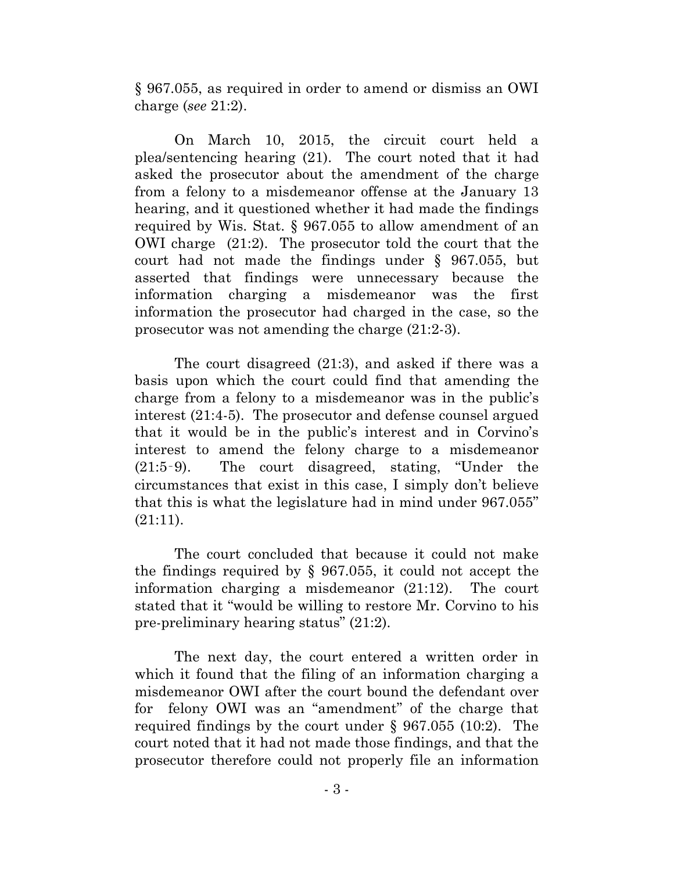§ 967.055, as required in order to amend or dismiss an OWI charge (*see* 21:2).

On March 10, 2015, the circuit court held a plea/sentencing hearing (21). The court noted that it had asked the prosecutor about the amendment of the charge from a felony to a misdemeanor offense at the January 13 hearing, and it questioned whether it had made the findings required by Wis. Stat. § 967.055 to allow amendment of an OWI charge (21:2). The prosecutor told the court that the court had not made the findings under § 967.055, but asserted that findings were unnecessary because the information charging a misdemeanor was the first information the prosecutor had charged in the case, so the prosecutor was not amending the charge (21:2-3).

The court disagreed (21:3), and asked if there was a basis upon which the court could find that amending the charge from a felony to a misdemeanor was in the public's interest (21:4-5). The prosecutor and defense counsel argued that it would be in the public's interest and in Corvino's interest to amend the felony charge to a misdemeanor (21:5‑9). The court disagreed, stating, "Under the circumstances that exist in this case, I simply don't believe that this is what the legislature had in mind under 967.055" (21:11).

The court concluded that because it could not make the findings required by § 967.055, it could not accept the information charging a misdemeanor (21:12). The court stated that it "would be willing to restore Mr. Corvino to his pre-preliminary hearing status" (21:2).

The next day, the court entered a written order in which it found that the filing of an information charging a misdemeanor OWI after the court bound the defendant over for felony OWI was an "amendment" of the charge that required findings by the court under § 967.055 (10:2). The court noted that it had not made those findings, and that the prosecutor therefore could not properly file an information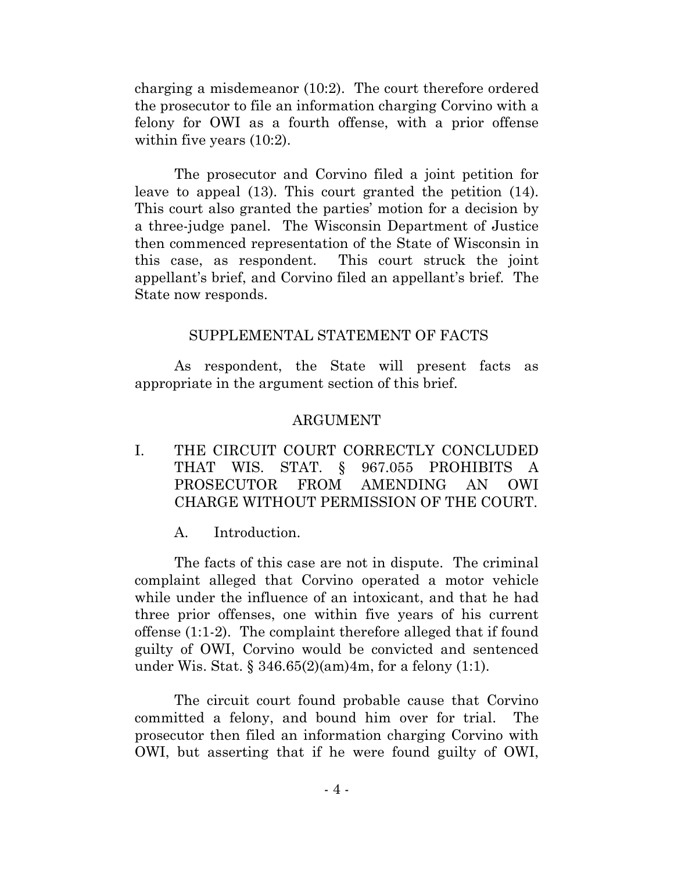charging a misdemeanor (10:2). The court therefore ordered the prosecutor to file an information charging Corvino with a felony for OWI as a fourth offense, with a prior offense within five years  $(10:2)$ .

The prosecutor and Corvino filed a joint petition for leave to appeal (13). This court granted the petition (14). This court also granted the parties' motion for a decision by a three-judge panel. The Wisconsin Department of Justice then commenced representation of the State of Wisconsin in this case, as respondent. This court struck the joint appellant's brief, and Corvino filed an appellant's brief. The State now responds.

### SUPPLEMENTAL STATEMENT OF FACTS

As respondent, the State will present facts as appropriate in the argument section of this brief.

### ARGUMENT

I. THE CIRCUIT COURT CORRECTLY CONCLUDED THAT WIS. STAT. § 967.055 PROHIBITS A PROSECUTOR FROM AMENDING AN OWI CHARGE WITHOUT PERMISSION OF THE COURT.

A. Introduction.

The facts of this case are not in dispute. The criminal complaint alleged that Corvino operated a motor vehicle while under the influence of an intoxicant, and that he had three prior offenses, one within five years of his current offense (1:1-2). The complaint therefore alleged that if found guilty of OWI, Corvino would be convicted and sentenced under Wis. Stat.  $\S 346.65(2)(am)4m$ , for a felony (1:1).

The circuit court found probable cause that Corvino committed a felony, and bound him over for trial. The prosecutor then filed an information charging Corvino with OWI, but asserting that if he were found guilty of OWI,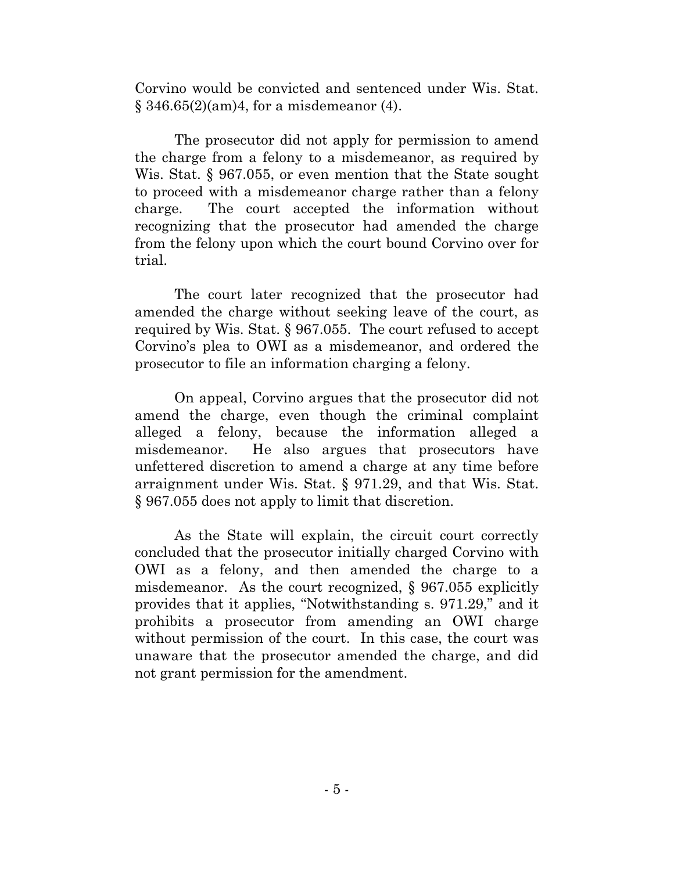Corvino would be convicted and sentenced under Wis. Stat.  $\S$  346.65(2)(am)4, for a misdemeanor (4).

The prosecutor did not apply for permission to amend the charge from a felony to a misdemeanor, as required by Wis. Stat. § 967.055, or even mention that the State sought to proceed with a misdemeanor charge rather than a felony charge. The court accepted the information without recognizing that the prosecutor had amended the charge from the felony upon which the court bound Corvino over for trial.

The court later recognized that the prosecutor had amended the charge without seeking leave of the court, as required by Wis. Stat. § 967.055. The court refused to accept Corvino's plea to OWI as a misdemeanor, and ordered the prosecutor to file an information charging a felony.

On appeal, Corvino argues that the prosecutor did not amend the charge, even though the criminal complaint alleged a felony, because the information alleged a misdemeanor. He also argues that prosecutors have unfettered discretion to amend a charge at any time before arraignment under Wis. Stat. § 971.29, and that Wis. Stat. § 967.055 does not apply to limit that discretion.

As the State will explain, the circuit court correctly concluded that the prosecutor initially charged Corvino with OWI as a felony, and then amended the charge to a misdemeanor. As the court recognized, § 967.055 explicitly provides that it applies, "Notwithstanding s. 971.29," and it prohibits a prosecutor from amending an OWI charge without permission of the court. In this case, the court was unaware that the prosecutor amended the charge, and did not grant permission for the amendment.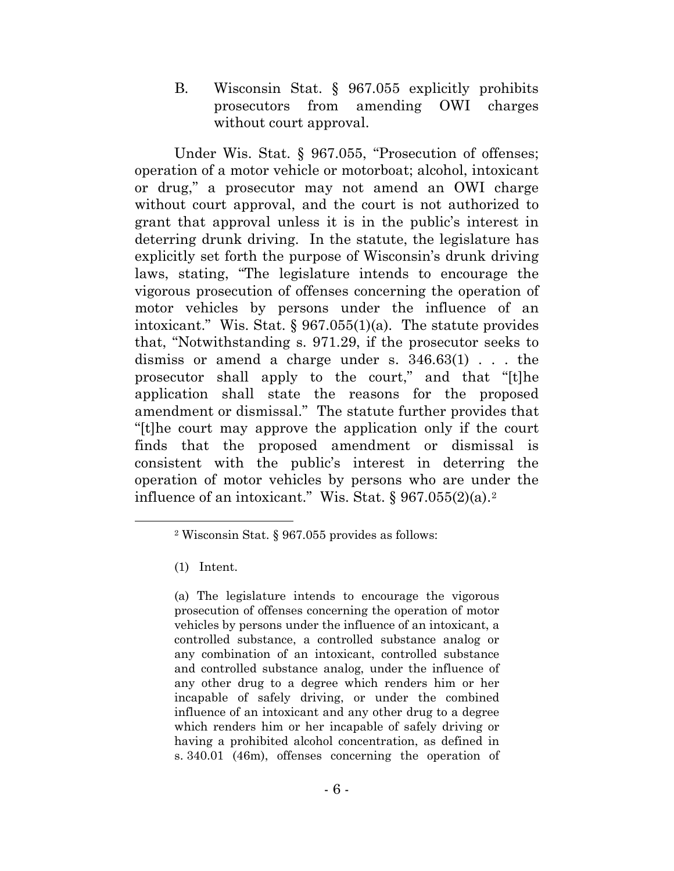B. Wisconsin Stat. § 967.055 explicitly prohibits prosecutors from amending OWI charges without court approval.

Under Wis. Stat. § 967.055, "Prosecution of offenses; operation of a motor vehicle or motorboat; alcohol, intoxicant or drug," a prosecutor may not amend an OWI charge without court approval, and the court is not authorized to grant that approval unless it is in the public's interest in deterring drunk driving. In the statute, the legislature has explicitly set forth the purpose of Wisconsin's drunk driving laws, stating, "The legislature intends to encourage the vigorous prosecution of offenses concerning the operation of motor vehicles by persons under the influence of an intoxicant." Wis. Stat. § 967.055(1)(a). The statute provides that, "Notwithstanding s. 971.29, if the prosecutor seeks to dismiss or amend a charge under s. 346.63(1) . . . the prosecutor shall apply to the court," and that "[t]he application shall state the reasons for the proposed amendment or dismissal." The statute further provides that "[t]he court may approve the application only if the court finds that the proposed amendment or dismissal is consistent with the public's interest in deterring the operation of motor vehicles by persons who are under the influence of an intoxicant." Wis. Stat.  $\sqrt{967.055(2)}$  $\sqrt{967.055(2)}$  $\sqrt{967.055(2)}$ (a).<sup>2</sup>

(1) Intent.

(a) The legislature intends to encourage the vigorous prosecution of offenses concerning the operation of motor vehicles by persons under the influence of an intoxicant, a controlled substance, a controlled substance analog or any combination of an intoxicant, controlled substance and controlled substance analog, under the influence of any other drug to a degree which renders him or her incapable of safely driving, or under the combined influence of an intoxicant and any other drug to a degree which renders him or her incapable of safely driving or having a prohibited alcohol concentration, as defined in s. 340.01 (46m), offenses concerning the operation of

<span id="page-10-0"></span> <sup>2</sup> Wisconsin Stat. § 967.055 provides as follows: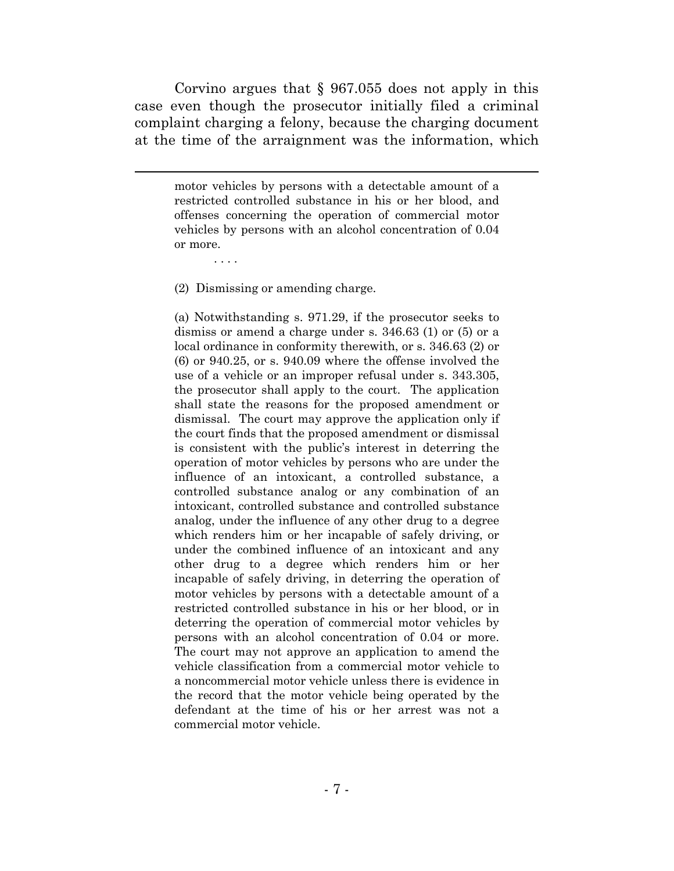Corvino argues that  $\S$  967.055 does not apply in this case even though the prosecutor initially filed a criminal complaint charging a felony, because the charging document at the time of the arraignment was the information, which

motor vehicles by persons with a detectable amount of a restricted controlled substance in his or her blood, and offenses concerning the operation of commercial motor vehicles by persons with an alcohol concentration of 0.04 or more.

(2) Dismissing or amending charge.

. . . .

l

(a) Notwithstanding s. 971.29, if the prosecutor seeks to dismiss or amend a charge under s. 346.63 (1) or (5) or a local ordinance in conformity therewith, or s. 346.63 (2) or (6) or 940.25, or s. 940.09 where the offense involved the use of a vehicle or an improper refusal under s. 343.305, the prosecutor shall apply to the court. The application shall state the reasons for the proposed amendment or dismissal. The court may approve the application only if the court finds that the proposed amendment or dismissal is consistent with the public's interest in deterring the operation of motor vehicles by persons who are under the influence of an intoxicant, a controlled substance, a controlled substance analog or any combination of an intoxicant, controlled substance and controlled substance analog, under the influence of any other drug to a degree which renders him or her incapable of safely driving, or under the combined influence of an intoxicant and any other drug to a degree which renders him or her incapable of safely driving, in deterring the operation of motor vehicles by persons with a detectable amount of a restricted controlled substance in his or her blood, or in deterring the operation of commercial motor vehicles by persons with an alcohol concentration of 0.04 or more. The court may not approve an application to amend the vehicle classification from a commercial motor vehicle to a noncommercial motor vehicle unless there is evidence in the record that the motor vehicle being operated by the defendant at the time of his or her arrest was not a commercial motor vehicle.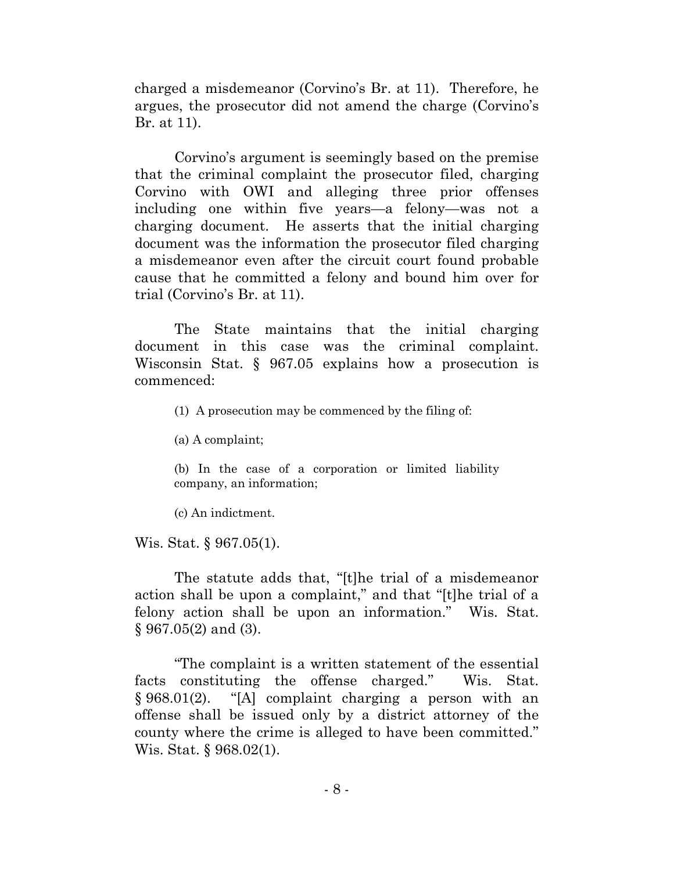charged a misdemeanor (Corvino's Br. at 11). Therefore, he argues, the prosecutor did not amend the charge (Corvino's Br. at 11).

Corvino's argument is seemingly based on the premise that the criminal complaint the prosecutor filed, charging Corvino with OWI and alleging three prior offenses including one within five years—a felony—was not a charging document. He asserts that the initial charging document was the information the prosecutor filed charging a misdemeanor even after the circuit court found probable cause that he committed a felony and bound him over for trial (Corvino's Br. at 11).

The State maintains that the initial charging document in this case was the criminal complaint. Wisconsin Stat. § 967.05 explains how a prosecution is commenced:

(1) A prosecution may be commenced by the filing of:

(a) A complaint;

(b) In the case of a corporation or limited liability company, an information;

(c) An indictment.

Wis. Stat. § 967.05(1).

The statute adds that, "[t]he trial of a misdemeanor action shall be upon a complaint," and that "[t]he trial of a felony action shall be upon an information." Wis. Stat. § 967.05(2) and (3).

"The complaint is a written statement of the essential facts constituting the offense charged." Wis. Stat. § 968.01(2). "[A] complaint charging a person with an offense shall be issued only by a district attorney of the county where the crime is alleged to have been committed." Wis. Stat. § 968.02(1).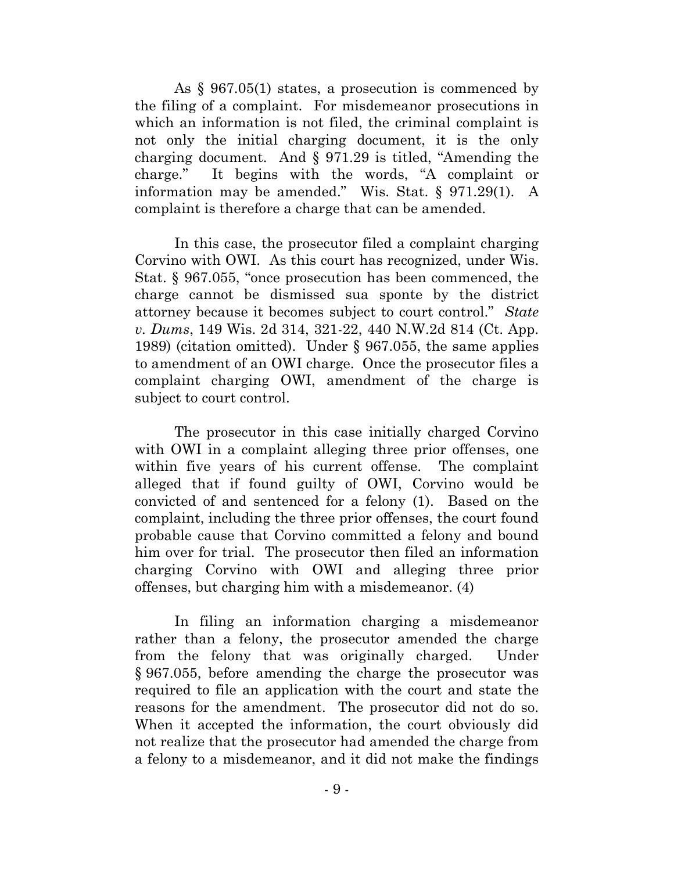As § 967.05(1) states, a prosecution is commenced by the filing of a complaint. For misdemeanor prosecutions in which an information is not filed, the criminal complaint is not only the initial charging document, it is the only charging document. And § 971.29 is titled, "Amending the charge." It begins with the words, "A complaint or information may be amended." Wis. Stat. § 971.29(1). A complaint is therefore a charge that can be amended.

In this case, the prosecutor filed a complaint charging Corvino with OWI. As this court has recognized, under Wis. Stat. § 967.055, "once prosecution has been commenced, the charge cannot be dismissed sua sponte by the district attorney because it becomes subject to court control." *State v. Dums*, 149 Wis. 2d 314, 321-22, 440 N.W.2d 814 (Ct. App. 1989) (citation omitted). Under § 967.055, the same applies to amendment of an OWI charge. Once the prosecutor files a complaint charging OWI, amendment of the charge is subject to court control.

The prosecutor in this case initially charged Corvino with OWI in a complaint alleging three prior offenses, one within five years of his current offense. The complaint alleged that if found guilty of OWI, Corvino would be convicted of and sentenced for a felony (1). Based on the complaint, including the three prior offenses, the court found probable cause that Corvino committed a felony and bound him over for trial. The prosecutor then filed an information charging Corvino with OWI and alleging three prior offenses, but charging him with a misdemeanor. (4)

In filing an information charging a misdemeanor rather than a felony, the prosecutor amended the charge from the felony that was originally charged. Under § 967.055, before amending the charge the prosecutor was required to file an application with the court and state the reasons for the amendment. The prosecutor did not do so. When it accepted the information, the court obviously did not realize that the prosecutor had amended the charge from a felony to a misdemeanor, and it did not make the findings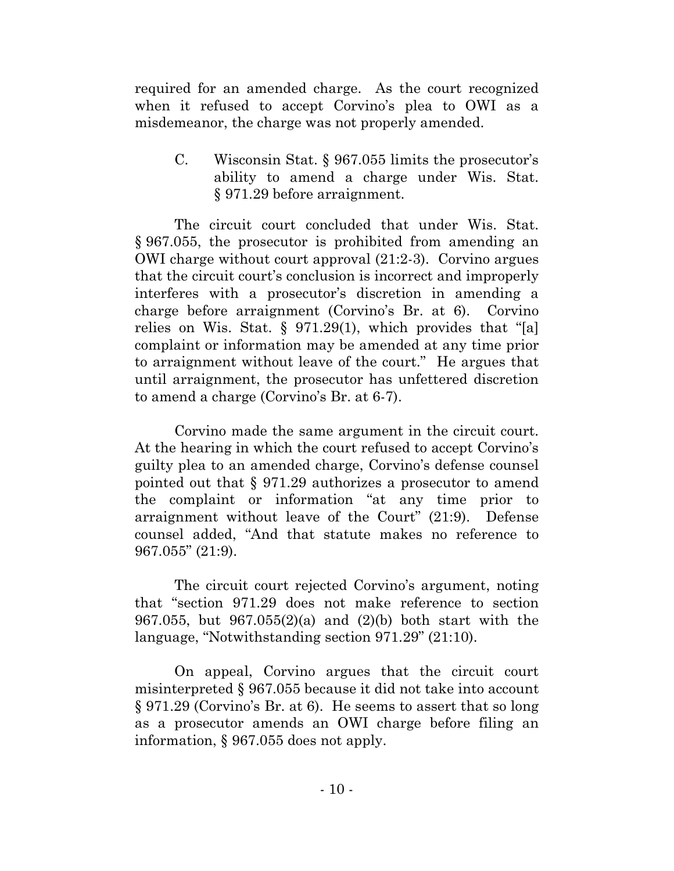required for an amended charge. As the court recognized when it refused to accept Corvino's plea to OWI as a misdemeanor, the charge was not properly amended.

C. Wisconsin Stat. § 967.055 limits the prosecutor's ability to amend a charge under Wis. Stat. § 971.29 before arraignment.

The circuit court concluded that under Wis. Stat. § 967.055, the prosecutor is prohibited from amending an OWI charge without court approval (21:2-3). Corvino argues that the circuit court's conclusion is incorrect and improperly interferes with a prosecutor's discretion in amending a charge before arraignment (Corvino's Br. at 6). Corvino relies on Wis. Stat. § 971.29(1), which provides that "[a] complaint or information may be amended at any time prior to arraignment without leave of the court." He argues that until arraignment, the prosecutor has unfettered discretion to amend a charge (Corvino's Br. at 6-7).

Corvino made the same argument in the circuit court. At the hearing in which the court refused to accept Corvino's guilty plea to an amended charge, Corvino's defense counsel pointed out that § 971.29 authorizes a prosecutor to amend the complaint or information "at any time prior to arraignment without leave of the Court" (21:9). Defense counsel added, "And that statute makes no reference to 967.055" (21:9).

The circuit court rejected Corvino's argument, noting that "section 971.29 does not make reference to section 967.055, but 967.055(2)(a) and (2)(b) both start with the language, "Notwithstanding section 971.29" (21:10).

On appeal, Corvino argues that the circuit court misinterpreted § 967.055 because it did not take into account § 971.29 (Corvino's Br. at 6). He seems to assert that so long as a prosecutor amends an OWI charge before filing an information, § 967.055 does not apply.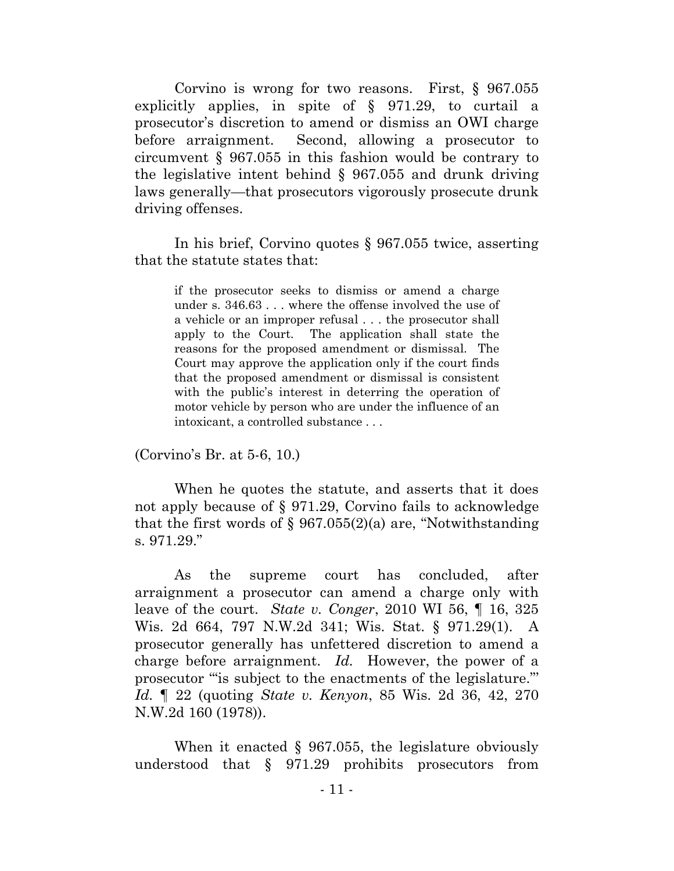Corvino is wrong for two reasons. First, § 967.055 explicitly applies, in spite of § 971.29, to curtail a prosecutor's discretion to amend or dismiss an OWI charge before arraignment. Second, allowing a prosecutor to circumvent § 967.055 in this fashion would be contrary to the legislative intent behind § 967.055 and drunk driving laws generally—that prosecutors vigorously prosecute drunk driving offenses.

In his brief, Corvino quotes § 967.055 twice, asserting that the statute states that:

if the prosecutor seeks to dismiss or amend a charge under s. 346.63 . . . where the offense involved the use of a vehicle or an improper refusal . . . the prosecutor shall apply to the Court. The application shall state the reasons for the proposed amendment or dismissal. The Court may approve the application only if the court finds that the proposed amendment or dismissal is consistent with the public's interest in deterring the operation of motor vehicle by person who are under the influence of an intoxicant, a controlled substance . . .

(Corvino's Br. at 5-6, 10.)

When he quotes the statute, and asserts that it does not apply because of § 971.29, Corvino fails to acknowledge that the first words of  $\S 967.055(2)$ (a) are, "Notwithstanding s. 971.29."

As the supreme court has concluded, after arraignment a prosecutor can amend a charge only with leave of the court. *State v. Conger*, 2010 WI 56, ¶ 16, 325 Wis. 2d 664, 797 N.W.2d 341; Wis. Stat. § 971.29(1). A prosecutor generally has unfettered discretion to amend a charge before arraignment. *Id.* However, the power of a prosecutor '"is subject to the enactments of the legislature."' *Id.* ¶ 22 (quoting *State v. Kenyon*, 85 Wis. 2d 36, 42, 270 N.W.2d 160 (1978)).

When it enacted  $\S$  967.055, the legislature obviously understood that § 971.29 prohibits prosecutors from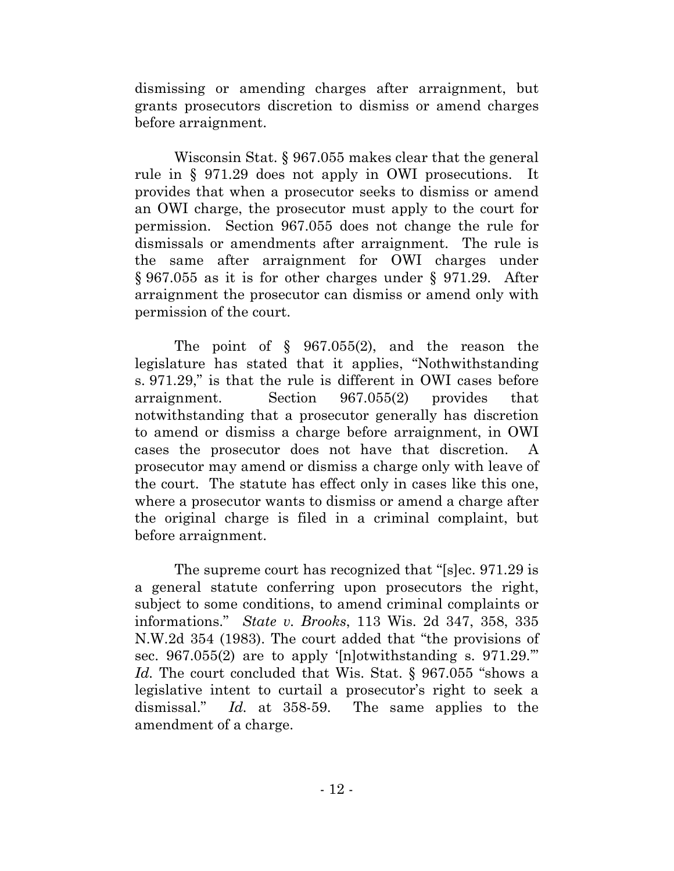dismissing or amending charges after arraignment, but grants prosecutors discretion to dismiss or amend charges before arraignment.

Wisconsin Stat. § 967.055 makes clear that the general rule in § 971.29 does not apply in OWI prosecutions. It provides that when a prosecutor seeks to dismiss or amend an OWI charge, the prosecutor must apply to the court for permission. Section 967.055 does not change the rule for dismissals or amendments after arraignment. The rule is the same after arraignment for OWI charges under § 967.055 as it is for other charges under § 971.29. After arraignment the prosecutor can dismiss or amend only with permission of the court.

The point of § 967.055(2), and the reason the legislature has stated that it applies, "Nothwithstanding s. 971.29," is that the rule is different in OWI cases before arraignment. Section 967.055(2) provides that notwithstanding that a prosecutor generally has discretion to amend or dismiss a charge before arraignment, in OWI cases the prosecutor does not have that discretion. A prosecutor may amend or dismiss a charge only with leave of the court. The statute has effect only in cases like this one, where a prosecutor wants to dismiss or amend a charge after the original charge is filed in a criminal complaint, but before arraignment.

The supreme court has recognized that "[s]ec. 971.29 is a general statute conferring upon prosecutors the right, subject to some conditions, to amend criminal complaints or informations." *State v. Brooks*, 113 Wis. 2d 347, 358, 335 N.W.2d 354 (1983). The court added that "the provisions of sec. 967.055(2) are to apply '[n]otwithstanding s. 971.29." *Id.* The court concluded that Wis. Stat. § 967.055 "shows a legislative intent to curtail a prosecutor's right to seek a dismissal." *Id.* at 358-59. The same applies to the amendment of a charge.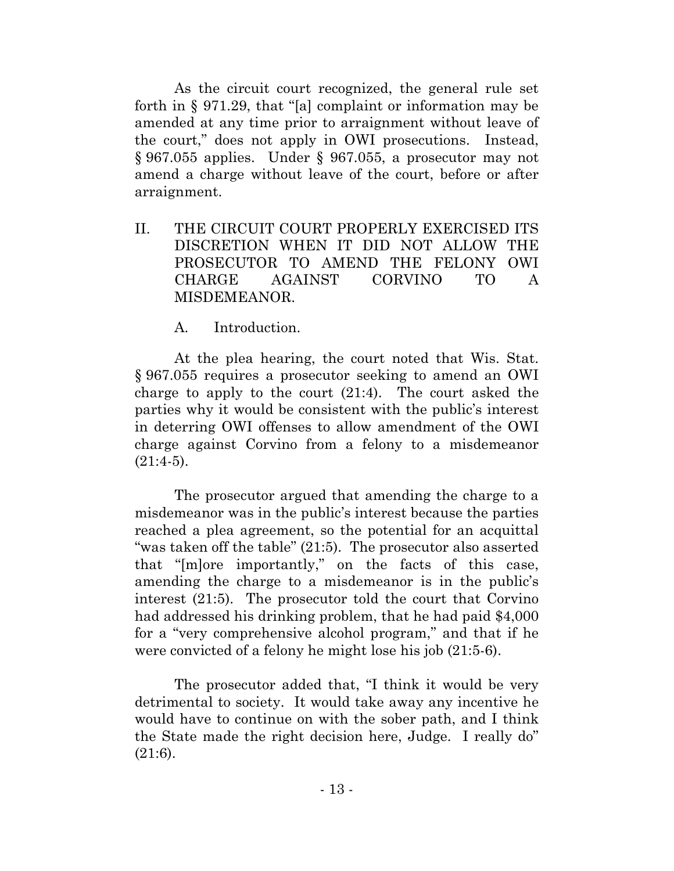As the circuit court recognized, the general rule set forth in § 971.29, that "[a] complaint or information may be amended at any time prior to arraignment without leave of the court," does not apply in OWI prosecutions. Instead, § 967.055 applies. Under § 967.055, a prosecutor may not amend a charge without leave of the court, before or after arraignment.

II. THE CIRCUIT COURT PROPERLY EXERCISED ITS DISCRETION WHEN IT DID NOT ALLOW THE PROSECUTOR TO AMEND THE FELONY OWI CHARGE AGAINST CORVINO TO A MISDEMEANOR.

A. Introduction.

At the plea hearing, the court noted that Wis. Stat. § 967.055 requires a prosecutor seeking to amend an OWI charge to apply to the court (21:4). The court asked the parties why it would be consistent with the public's interest in deterring OWI offenses to allow amendment of the OWI charge against Corvino from a felony to a misdemeanor  $(21:4-5)$ .

The prosecutor argued that amending the charge to a misdemeanor was in the public's interest because the parties reached a plea agreement, so the potential for an acquittal "was taken off the table" (21:5). The prosecutor also asserted that "[m]ore importantly," on the facts of this case, amending the charge to a misdemeanor is in the public's interest (21:5). The prosecutor told the court that Corvino had addressed his drinking problem, that he had paid \$4,000 for a "very comprehensive alcohol program," and that if he were convicted of a felony he might lose his job (21:5-6).

The prosecutor added that, "I think it would be very detrimental to society. It would take away any incentive he would have to continue on with the sober path, and I think the State made the right decision here, Judge. I really do" (21:6).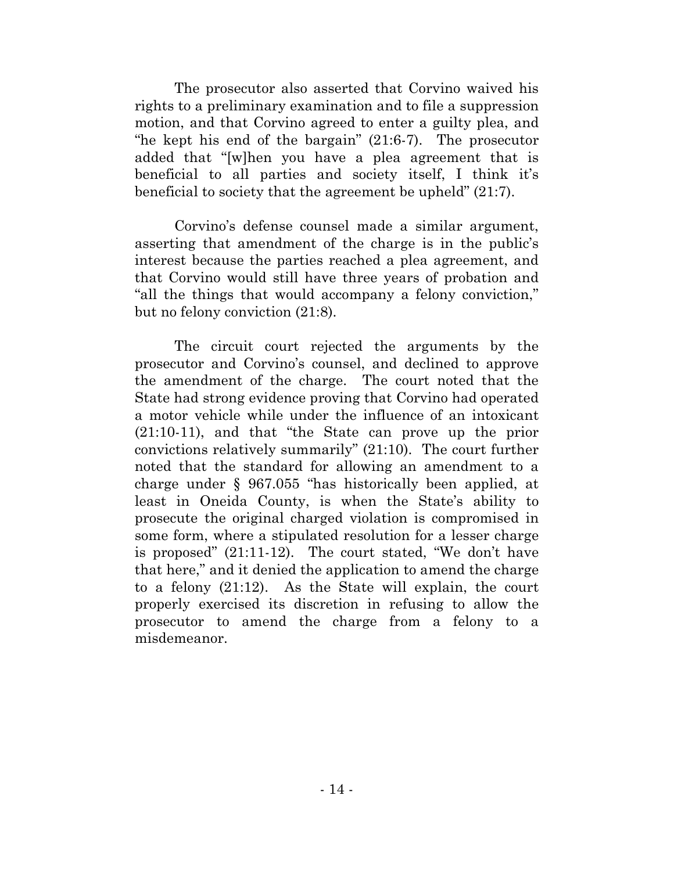The prosecutor also asserted that Corvino waived his rights to a preliminary examination and to file a suppression motion, and that Corvino agreed to enter a guilty plea, and "he kept his end of the bargain" (21:6-7). The prosecutor added that "[w]hen you have a plea agreement that is beneficial to all parties and society itself, I think it's beneficial to society that the agreement be upheld" (21:7).

Corvino's defense counsel made a similar argument, asserting that amendment of the charge is in the public's interest because the parties reached a plea agreement, and that Corvino would still have three years of probation and "all the things that would accompany a felony conviction," but no felony conviction (21:8).

The circuit court rejected the arguments by the prosecutor and Corvino's counsel, and declined to approve the amendment of the charge. The court noted that the State had strong evidence proving that Corvino had operated a motor vehicle while under the influence of an intoxicant (21:10-11), and that "the State can prove up the prior convictions relatively summarily" (21:10). The court further noted that the standard for allowing an amendment to a charge under § 967.055 "has historically been applied, at least in Oneida County, is when the State's ability to prosecute the original charged violation is compromised in some form, where a stipulated resolution for a lesser charge is proposed" (21:11-12). The court stated, "We don't have that here," and it denied the application to amend the charge to a felony (21:12). As the State will explain, the court properly exercised its discretion in refusing to allow the prosecutor to amend the charge from a felony to a misdemeanor.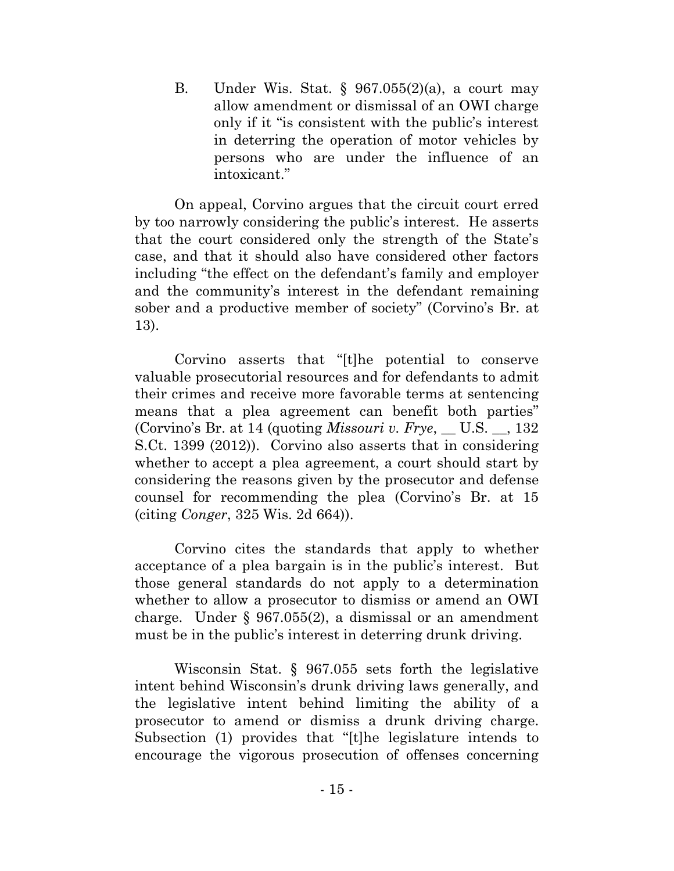B. Under Wis. Stat.  $\S$  967.055(2)(a), a court may allow amendment or dismissal of an OWI charge only if it "is consistent with the public's interest in deterring the operation of motor vehicles by persons who are under the influence of an intoxicant."

On appeal, Corvino argues that the circuit court erred by too narrowly considering the public's interest. He asserts that the court considered only the strength of the State's case, and that it should also have considered other factors including "the effect on the defendant's family and employer and the community's interest in the defendant remaining sober and a productive member of society" (Corvino's Br. at 13).

Corvino asserts that "[t]he potential to conserve valuable prosecutorial resources and for defendants to admit their crimes and receive more favorable terms at sentencing means that a plea agreement can benefit both parties" (Corvino's Br. at 14 (quoting *Missouri v. Frye*, \_\_ U.S. \_\_, 132 S.Ct. 1399 (2012)). Corvino also asserts that in considering whether to accept a plea agreement, a court should start by considering the reasons given by the prosecutor and defense counsel for recommending the plea (Corvino's Br. at 15 (citing *Conger*, 325 Wis. 2d 664)).

Corvino cites the standards that apply to whether acceptance of a plea bargain is in the public's interest. But those general standards do not apply to a determination whether to allow a prosecutor to dismiss or amend an OWI charge. Under § 967.055(2), a dismissal or an amendment must be in the public's interest in deterring drunk driving.

Wisconsin Stat. § 967.055 sets forth the legislative intent behind Wisconsin's drunk driving laws generally, and the legislative intent behind limiting the ability of a prosecutor to amend or dismiss a drunk driving charge. Subsection (1) provides that "[t]he legislature intends to encourage the vigorous prosecution of offenses concerning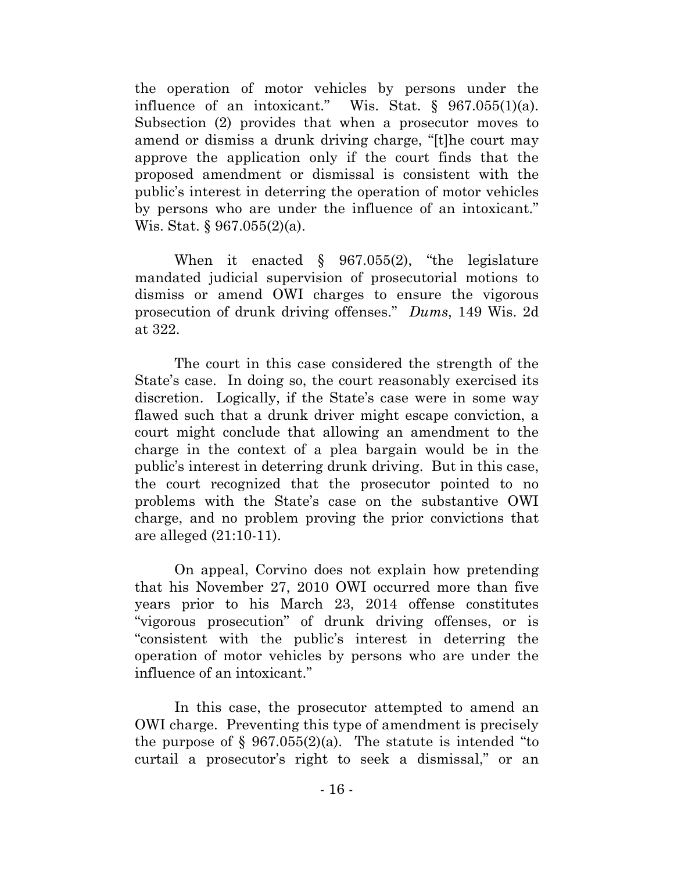the operation of motor vehicles by persons under the influence of an intoxicant." Wis. Stat.  $\S$  967.055(1)(a). Subsection (2) provides that when a prosecutor moves to amend or dismiss a drunk driving charge, "[t]he court may approve the application only if the court finds that the proposed amendment or dismissal is consistent with the public's interest in deterring the operation of motor vehicles by persons who are under the influence of an intoxicant." Wis. Stat. § 967.055(2)(a).

When it enacted § 967.055(2), "the legislature mandated judicial supervision of prosecutorial motions to dismiss or amend OWI charges to ensure the vigorous prosecution of drunk driving offenses." *Dums*, 149 Wis. 2d at 322.

The court in this case considered the strength of the State's case. In doing so, the court reasonably exercised its discretion. Logically, if the State's case were in some way flawed such that a drunk driver might escape conviction, a court might conclude that allowing an amendment to the charge in the context of a plea bargain would be in the public's interest in deterring drunk driving. But in this case, the court recognized that the prosecutor pointed to no problems with the State's case on the substantive OWI charge, and no problem proving the prior convictions that are alleged (21:10-11).

On appeal, Corvino does not explain how pretending that his November 27, 2010 OWI occurred more than five years prior to his March 23, 2014 offense constitutes "vigorous prosecution" of drunk driving offenses, or is "consistent with the public's interest in deterring the operation of motor vehicles by persons who are under the influence of an intoxicant."

In this case, the prosecutor attempted to amend an OWI charge. Preventing this type of amendment is precisely the purpose of  $\S 967.055(2)$ (a). The statute is intended "to curtail a prosecutor's right to seek a dismissal," or an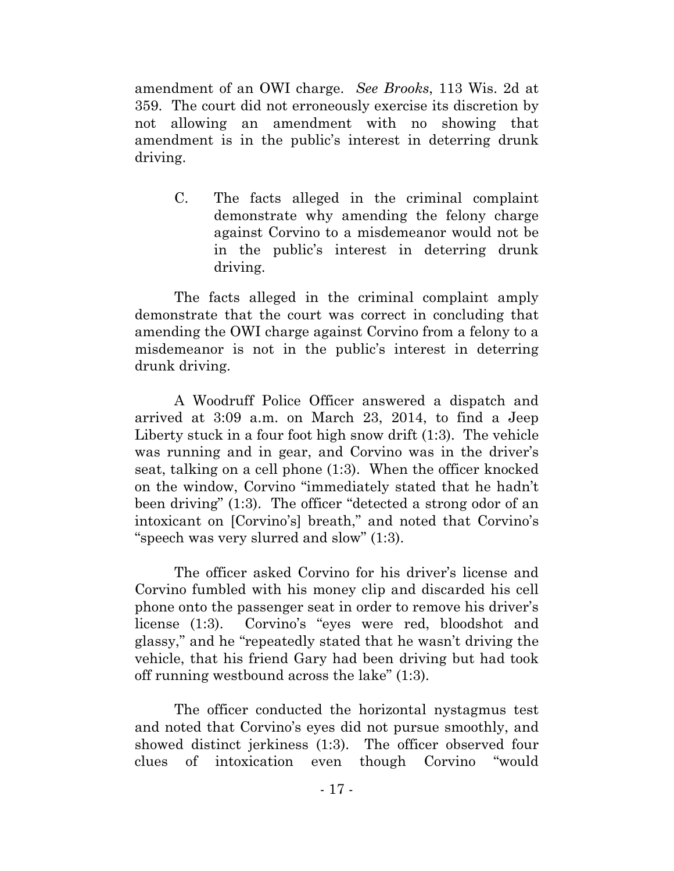amendment of an OWI charge. *See Brooks*, 113 Wis. 2d at 359. The court did not erroneously exercise its discretion by not allowing an amendment with no showing that amendment is in the public's interest in deterring drunk driving.

C. The facts alleged in the criminal complaint demonstrate why amending the felony charge against Corvino to a misdemeanor would not be in the public's interest in deterring drunk driving.

The facts alleged in the criminal complaint amply demonstrate that the court was correct in concluding that amending the OWI charge against Corvino from a felony to a misdemeanor is not in the public's interest in deterring drunk driving.

A Woodruff Police Officer answered a dispatch and arrived at 3:09 a.m. on March 23, 2014, to find a Jeep Liberty stuck in a four foot high snow drift (1:3). The vehicle was running and in gear, and Corvino was in the driver's seat, talking on a cell phone (1:3). When the officer knocked on the window, Corvino "immediately stated that he hadn't been driving" (1:3). The officer "detected a strong odor of an intoxicant on [Corvino's] breath," and noted that Corvino's "speech was very slurred and slow" (1:3).

The officer asked Corvino for his driver's license and Corvino fumbled with his money clip and discarded his cell phone onto the passenger seat in order to remove his driver's license (1:3). Corvino's "eyes were red, bloodshot and glassy," and he "repeatedly stated that he wasn't driving the vehicle, that his friend Gary had been driving but had took off running westbound across the lake" (1:3).

The officer conducted the horizontal nystagmus test and noted that Corvino's eyes did not pursue smoothly, and showed distinct jerkiness (1:3). The officer observed four clues of intoxication even though Corvino "would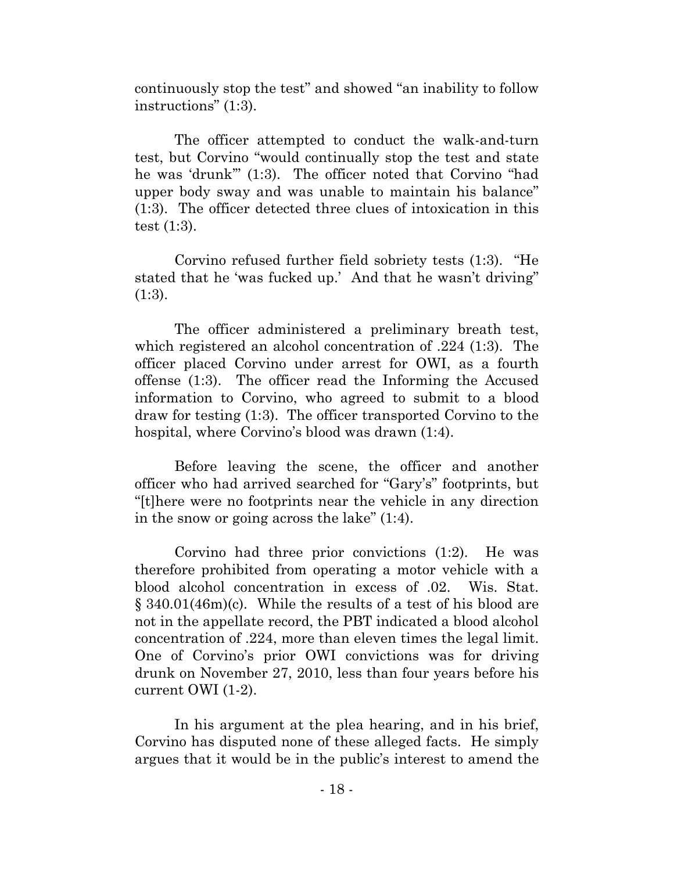continuously stop the test" and showed "an inability to follow instructions" (1:3).

The officer attempted to conduct the walk-and-turn test, but Corvino "would continually stop the test and state he was 'drunk'" (1:3). The officer noted that Corvino "had upper body sway and was unable to maintain his balance" (1:3). The officer detected three clues of intoxication in this test (1:3).

Corvino refused further field sobriety tests (1:3). "He stated that he 'was fucked up.' And that he wasn't driving"  $(1:3)$ .

The officer administered a preliminary breath test, which registered an alcohol concentration of .224 (1:3). The officer placed Corvino under arrest for OWI, as a fourth offense (1:3). The officer read the Informing the Accused information to Corvino, who agreed to submit to a blood draw for testing (1:3). The officer transported Corvino to the hospital, where Corvino's blood was drawn (1:4).

Before leaving the scene, the officer and another officer who had arrived searched for "Gary's" footprints, but "[t]here were no footprints near the vehicle in any direction in the snow or going across the lake" (1:4).

Corvino had three prior convictions (1:2). He was therefore prohibited from operating a motor vehicle with a blood alcohol concentration in excess of .02. Wis. Stat. § 340.01(46m)(c). While the results of a test of his blood are not in the appellate record, the PBT indicated a blood alcohol concentration of .224, more than eleven times the legal limit. One of Corvino's prior OWI convictions was for driving drunk on November 27, 2010, less than four years before his current OWI (1-2).

In his argument at the plea hearing, and in his brief, Corvino has disputed none of these alleged facts. He simply argues that it would be in the public's interest to amend the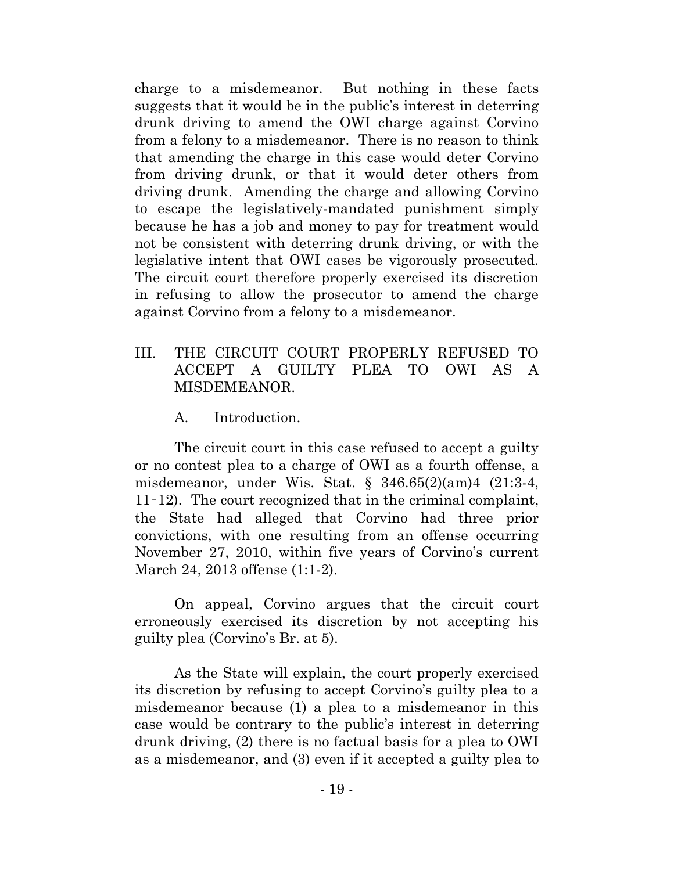charge to a misdemeanor. But nothing in these facts suggests that it would be in the public's interest in deterring drunk driving to amend the OWI charge against Corvino from a felony to a misdemeanor. There is no reason to think that amending the charge in this case would deter Corvino from driving drunk, or that it would deter others from driving drunk. Amending the charge and allowing Corvino to escape the legislatively-mandated punishment simply because he has a job and money to pay for treatment would not be consistent with deterring drunk driving, or with the legislative intent that OWI cases be vigorously prosecuted. The circuit court therefore properly exercised its discretion in refusing to allow the prosecutor to amend the charge against Corvino from a felony to a misdemeanor.

# III. THE CIRCUIT COURT PROPERLY REFUSED TO ACCEPT A GUILTY PLEA TO OWI AS A MISDEMEANOR.

A. Introduction.

The circuit court in this case refused to accept a guilty or no contest plea to a charge of OWI as a fourth offense, a misdemeanor, under Wis. Stat. § 346.65(2)(am)4 (21:3-4, 11‑12). The court recognized that in the criminal complaint, the State had alleged that Corvino had three prior convictions, with one resulting from an offense occurring November 27, 2010, within five years of Corvino's current March 24, 2013 offense (1:1-2).

On appeal, Corvino argues that the circuit court erroneously exercised its discretion by not accepting his guilty plea (Corvino's Br. at 5).

As the State will explain, the court properly exercised its discretion by refusing to accept Corvino's guilty plea to a misdemeanor because (1) a plea to a misdemeanor in this case would be contrary to the public's interest in deterring drunk driving, (2) there is no factual basis for a plea to OWI as a misdemeanor, and (3) even if it accepted a guilty plea to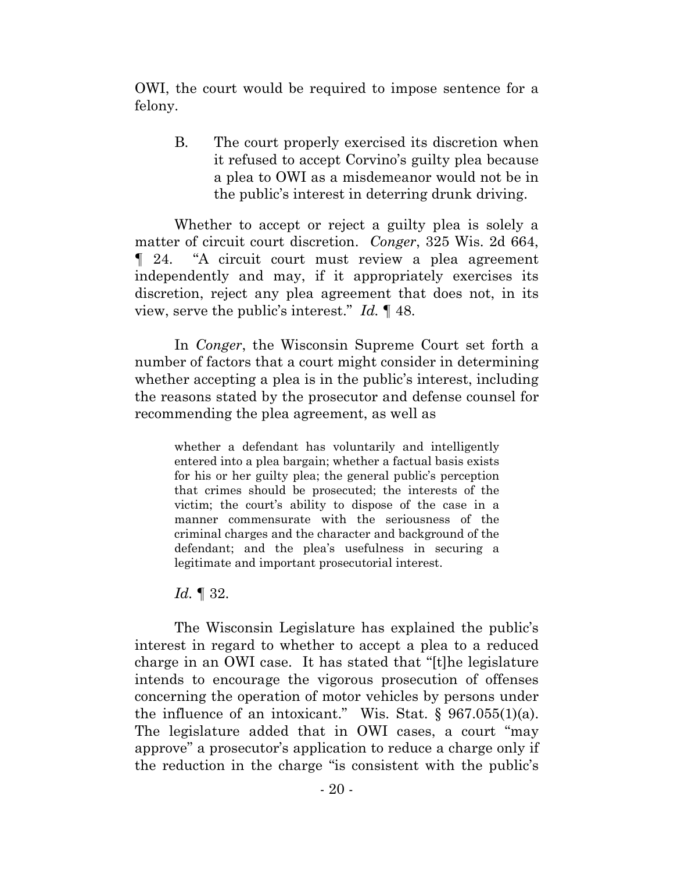OWI, the court would be required to impose sentence for a felony.

B. The court properly exercised its discretion when it refused to accept Corvino's guilty plea because a plea to OWI as a misdemeanor would not be in the public's interest in deterring drunk driving.

Whether to accept or reject a guilty plea is solely a matter of circuit court discretion. *Conger*, 325 Wis. 2d 664, ¶ 24. "A circuit court must review a plea agreement independently and may, if it appropriately exercises its discretion, reject any plea agreement that does not, in its view, serve the public's interest." *Id.* ¶ 48.

In *Conger*, the Wisconsin Supreme Court set forth a number of factors that a court might consider in determining whether accepting a plea is in the public's interest, including the reasons stated by the prosecutor and defense counsel for recommending the plea agreement, as well as

whether a defendant has voluntarily and intelligently entered into a plea bargain; whether a factual basis exists for his or her guilty plea; the general public's perception that crimes should be prosecuted; the interests of the victim; the court's ability to dispose of the case in a manner commensurate with the seriousness of the criminal charges and the character and background of the defendant; and the plea's usefulness in securing a legitimate and important prosecutorial interest.

#### *Id.* ¶ 32.

The Wisconsin Legislature has explained the public's interest in regard to whether to accept a plea to a reduced charge in an OWI case. It has stated that "[t]he legislature intends to encourage the vigorous prosecution of offenses concerning the operation of motor vehicles by persons under the influence of an intoxicant." Wis. Stat.  $\S$  967.055(1)(a). The legislature added that in OWI cases, a court "may approve" a prosecutor's application to reduce a charge only if the reduction in the charge "is consistent with the public's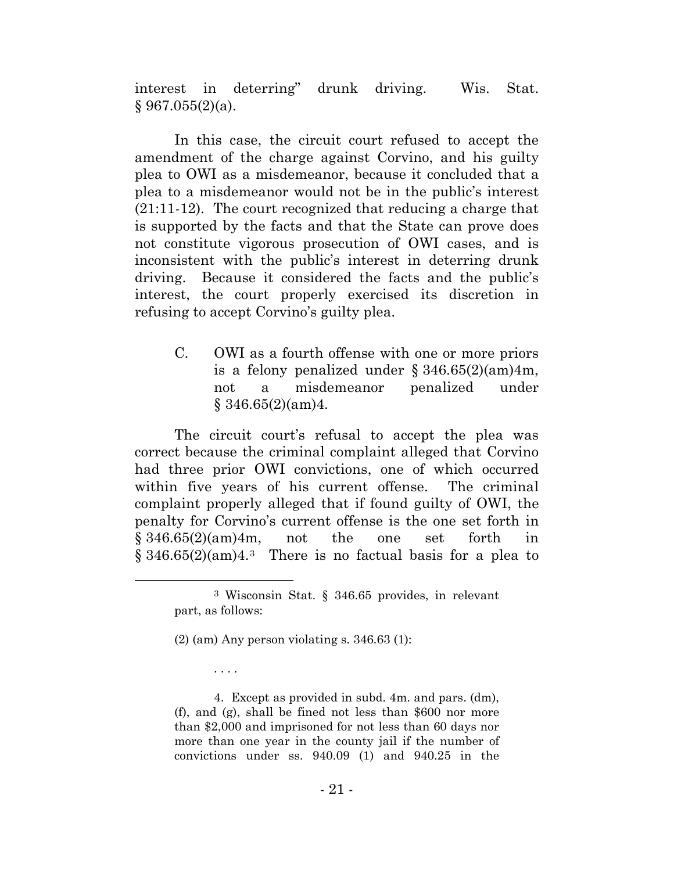interest in deterring" drunk driving. Wis. Stat.  $§ 967.055(2)(a).$ 

In this case, the circuit court refused to accept the amendment of the charge against Corvino, and his guilty plea to OWI as a misdemeanor, because it concluded that a plea to a misdemeanor would not be in the public's interest (21:11-12). The court recognized that reducing a charge that is supported by the facts and that the State can prove does not constitute vigorous prosecution of OWI cases, and is inconsistent with the public's interest in deterring drunk driving. Because it considered the facts and the public's interest, the court properly exercised its discretion in refusing to accept Corvino's guilty plea.

C. OWI as a fourth offense with one or more priors is a felony penalized under  $\S 346.65(2)(am)4m$ , not a misdemeanor penalized under  $§$  346.65(2)(am)4.

The circuit court's refusal to accept the plea was correct because the criminal complaint alleged that Corvino had three prior OWI convictions, one of which occurred within five years of his current offense. The criminal complaint properly alleged that if found guilty of OWI, the penalty for Corvino's current offense is the one set forth in  $§ 346.65(2)(am)4m$ , not the one set forth in  $\S 346.65(2)(am)4.3$  $\S 346.65(2)(am)4.3$  $\S 346.65(2)(am)4.3$  There is no factual basis for a plea to

. . . .

<span id="page-25-0"></span> <sup>3</sup> Wisconsin Stat. § 346.65 provides, in relevant part, as follows:

<sup>(2) (</sup>am) Any person violating s. 346.63 (1):

<sup>4.</sup> Except as provided in subd. 4m. and pars. (dm), (f), and (g), shall be fined not less than \$600 nor more than \$2,000 and imprisoned for not less than 60 days nor more than one year in the county jail if the number of convictions under ss. 940.09 (1) and 940.25 in the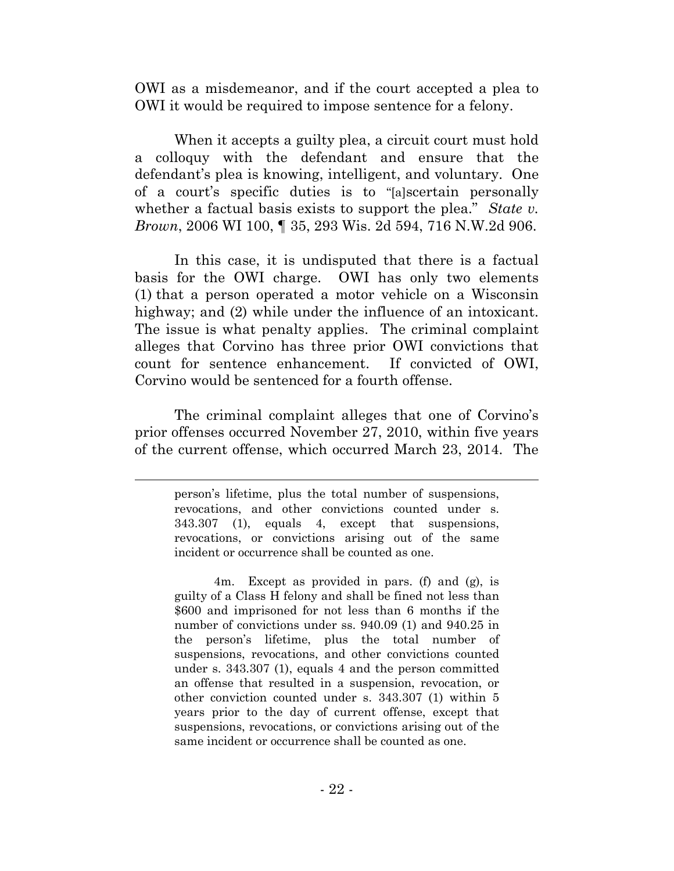OWI as a misdemeanor, and if the court accepted a plea to OWI it would be required to impose sentence for a felony.

When it accepts a guilty plea, a circuit court must hold a colloquy with the defendant and ensure that the defendant's plea is knowing, intelligent, and voluntary. One of a court's specific duties is to "[a]scertain personally whether a factual basis exists to support the plea." *State v. Brown*, 2006 WI 100, ¶ 35, 293 Wis. 2d 594, 716 N.W.2d 906.

In this case, it is undisputed that there is a factual basis for the OWI charge. OWI has only two elements (1) that a person operated a motor vehicle on a Wisconsin highway; and (2) while under the influence of an intoxicant. The issue is what penalty applies. The criminal complaint alleges that Corvino has three prior OWI convictions that count for sentence enhancement. If convicted of OWI, Corvino would be sentenced for a fourth offense.

The criminal complaint alleges that one of Corvino's prior offenses occurred November 27, 2010, within five years of the current offense, which occurred March 23, 2014. The

l

person's lifetime, plus the total number of suspensions, revocations, and other convictions counted under s. 343.307 (1), equals 4, except that suspensions, revocations, or convictions arising out of the same incident or occurrence shall be counted as one.

<sup>4</sup>m. Except as provided in pars. (f) and (g), is guilty of a Class H felony and shall be fined not less than \$600 and imprisoned for not less than 6 months if the number of convictions under ss. 940.09 (1) and 940.25 in the person's lifetime, plus the total number of suspensions, revocations, and other convictions counted under s. 343.307 (1), equals 4 and the person committed an offense that resulted in a suspension, revocation, or other conviction counted under s. 343.307 (1) within 5 years prior to the day of current offense, except that suspensions, revocations, or convictions arising out of the same incident or occurrence shall be counted as one.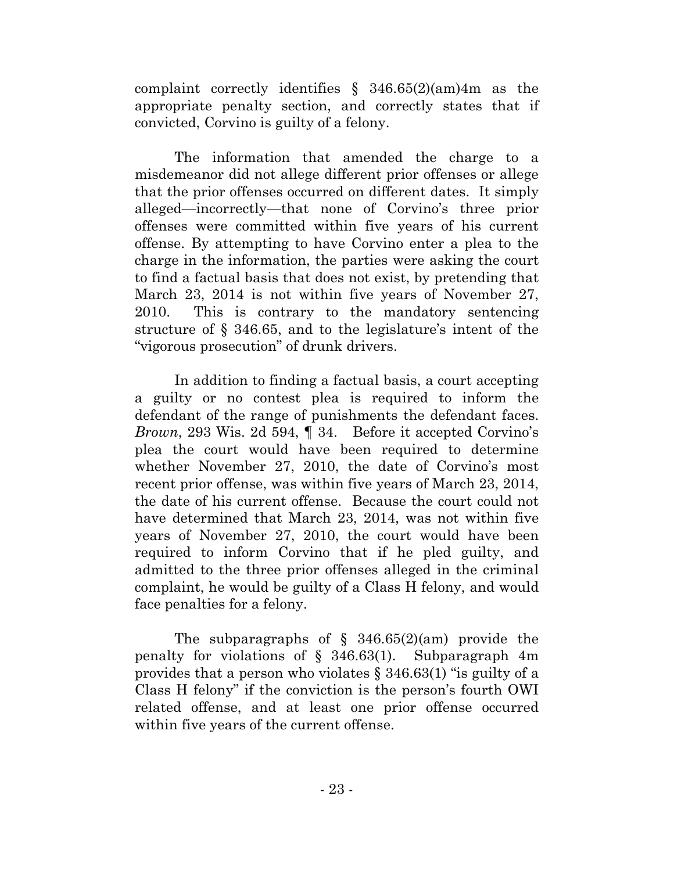complaint correctly identifies  $\S$  346.65(2)(am)4m as the appropriate penalty section, and correctly states that if convicted, Corvino is guilty of a felony.

The information that amended the charge to a misdemeanor did not allege different prior offenses or allege that the prior offenses occurred on different dates. It simply alleged—incorrectly—that none of Corvino's three prior offenses were committed within five years of his current offense. By attempting to have Corvino enter a plea to the charge in the information, the parties were asking the court to find a factual basis that does not exist, by pretending that March 23, 2014 is not within five years of November 27, 2010. This is contrary to the mandatory sentencing structure of § 346.65, and to the legislature's intent of the "vigorous prosecution" of drunk drivers.

In addition to finding a factual basis, a court accepting a guilty or no contest plea is required to inform the defendant of the range of punishments the defendant faces. *Brown*, 293 Wis. 2d 594, ¶ 34. Before it accepted Corvino's plea the court would have been required to determine whether November 27, 2010, the date of Corvino's most recent prior offense, was within five years of March 23, 2014, the date of his current offense. Because the court could not have determined that March 23, 2014, was not within five years of November 27, 2010, the court would have been required to inform Corvino that if he pled guilty, and admitted to the three prior offenses alleged in the criminal complaint, he would be guilty of a Class H felony, and would face penalties for a felony.

The subparagraphs of  $\S$  346.65(2)(am) provide the penalty for violations of § 346.63(1). Subparagraph 4m provides that a person who violates § 346.63(1) "is guilty of a Class H felony" if the conviction is the person's fourth OWI related offense, and at least one prior offense occurred within five years of the current offense.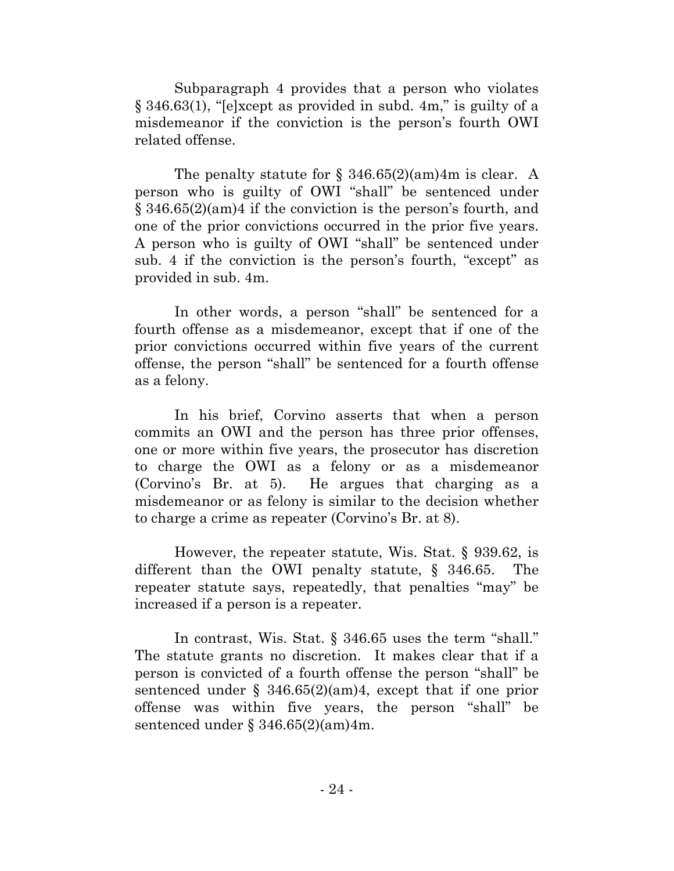Subparagraph 4 provides that a person who violates § 346.63(1), "[e]xcept as provided in subd. 4m," is guilty of a misdemeanor if the conviction is the person's fourth OWI related offense.

The penalty statute for  $\S$  346.65(2)(am)4m is clear. A person who is guilty of OWI "shall" be sentenced under § 346.65(2)(am)4 if the conviction is the person's fourth, and one of the prior convictions occurred in the prior five years. A person who is guilty of OWI "shall" be sentenced under sub. 4 if the conviction is the person's fourth, "except" as provided in sub. 4m.

In other words, a person "shall" be sentenced for a fourth offense as a misdemeanor, except that if one of the prior convictions occurred within five years of the current offense, the person "shall" be sentenced for a fourth offense as a felony.

In his brief, Corvino asserts that when a person commits an OWI and the person has three prior offenses, one or more within five years, the prosecutor has discretion to charge the OWI as a felony or as a misdemeanor (Corvino's Br. at 5). He argues that charging as a misdemeanor or as felony is similar to the decision whether to charge a crime as repeater (Corvino's Br. at 8).

However, the repeater statute, Wis. Stat. § 939.62, is different than the OWI penalty statute, § 346.65. The repeater statute says, repeatedly, that penalties "may" be increased if a person is a repeater.

In contrast, Wis. Stat. § 346.65 uses the term "shall." The statute grants no discretion. It makes clear that if a person is convicted of a fourth offense the person "shall" be sentenced under  $\S$  346.65(2)(am)4, except that if one prior offense was within five years, the person "shall" be sentenced under § 346.65(2)(am)4m.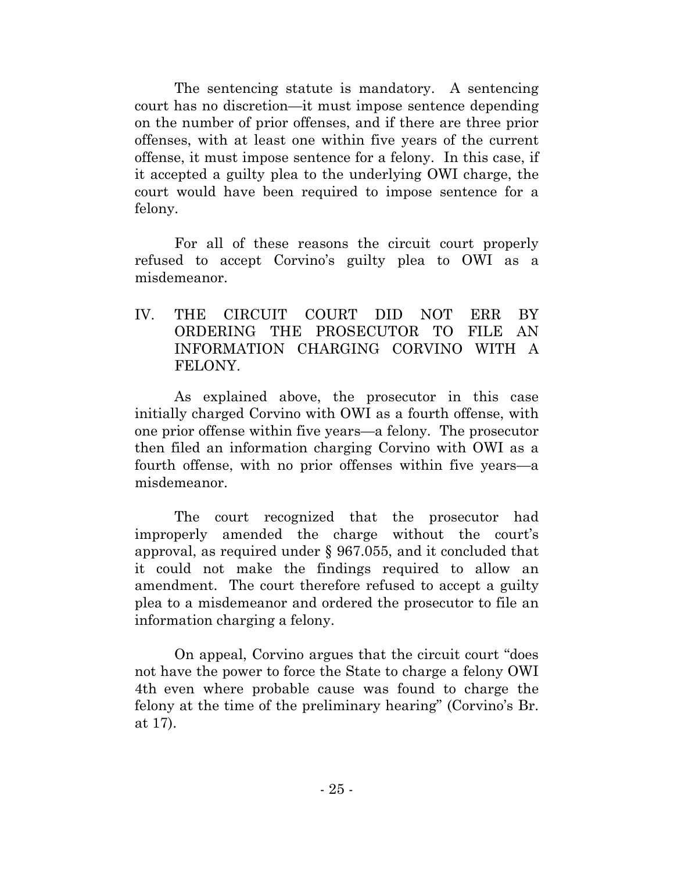The sentencing statute is mandatory. A sentencing court has no discretion—it must impose sentence depending on the number of prior offenses, and if there are three prior offenses, with at least one within five years of the current offense, it must impose sentence for a felony. In this case, if it accepted a guilty plea to the underlying OWI charge, the court would have been required to impose sentence for a felony.

For all of these reasons the circuit court properly refused to accept Corvino's guilty plea to OWI as a misdemeanor.

IV. THE CIRCUIT COURT DID NOT ERR BY ORDERING THE PROSECUTOR TO FILE AN INFORMATION CHARGING CORVINO WITH A FELONY.

As explained above, the prosecutor in this case initially charged Corvino with OWI as a fourth offense, with one prior offense within five years—a felony. The prosecutor then filed an information charging Corvino with OWI as a fourth offense, with no prior offenses within five years—a misdemeanor.

The court recognized that the prosecutor had improperly amended the charge without the court's approval, as required under § 967.055, and it concluded that it could not make the findings required to allow an amendment. The court therefore refused to accept a guilty plea to a misdemeanor and ordered the prosecutor to file an information charging a felony.

On appeal, Corvino argues that the circuit court "does not have the power to force the State to charge a felony OWI 4th even where probable cause was found to charge the felony at the time of the preliminary hearing" (Corvino's Br. at 17).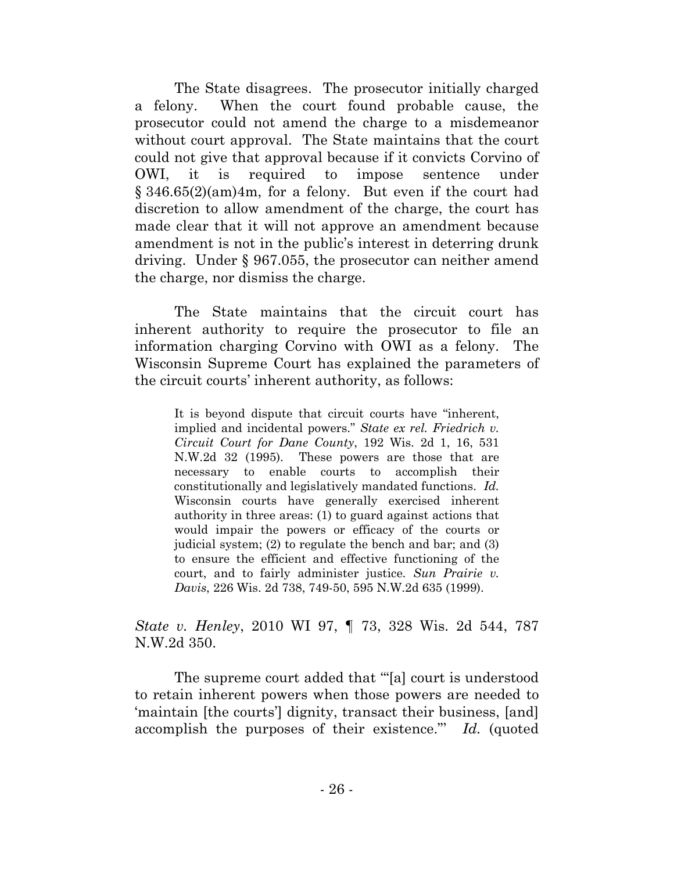The State disagrees. The prosecutor initially charged a felony. When the court found probable cause, the prosecutor could not amend the charge to a misdemeanor without court approval. The State maintains that the court could not give that approval because if it convicts Corvino of OWI, it is required to impose sentence under § 346.65(2)(am)4m, for a felony. But even if the court had discretion to allow amendment of the charge, the court has made clear that it will not approve an amendment because amendment is not in the public's interest in deterring drunk driving. Under § 967.055, the prosecutor can neither amend the charge, nor dismiss the charge.

The State maintains that the circuit court has inherent authority to require the prosecutor to file an information charging Corvino with OWI as a felony. The Wisconsin Supreme Court has explained the parameters of the circuit courts' inherent authority, as follows:

It is beyond dispute that circuit courts have "inherent, implied and incidental powers." *State ex rel. Friedrich v. Circuit Court for Dane County*, 192 Wis. 2d 1, 16, 531 N.W.2d 32 (1995). These powers are those that are necessary to enable courts to accomplish their constitutionally and legislatively mandated functions. *Id.* Wisconsin courts have generally exercised inherent authority in three areas: (1) to guard against actions that would impair the powers or efficacy of the courts or judicial system; (2) to regulate the bench and bar; and (3) to ensure the efficient and effective functioning of the court, and to fairly administer justice. *Sun Prairie v. Davis*, 226 Wis. 2d 738, 749-50, 595 N.W.2d 635 (1999).

# *State v. Henley*, 2010 WI 97, ¶ 73, 328 Wis. 2d 544, 787 N.W.2d 350.

The supreme court added that '"[a] court is understood to retain inherent powers when those powers are needed to 'maintain [the courts'] dignity, transact their business, [and] accomplish the purposes of their existence."' *Id.* (quoted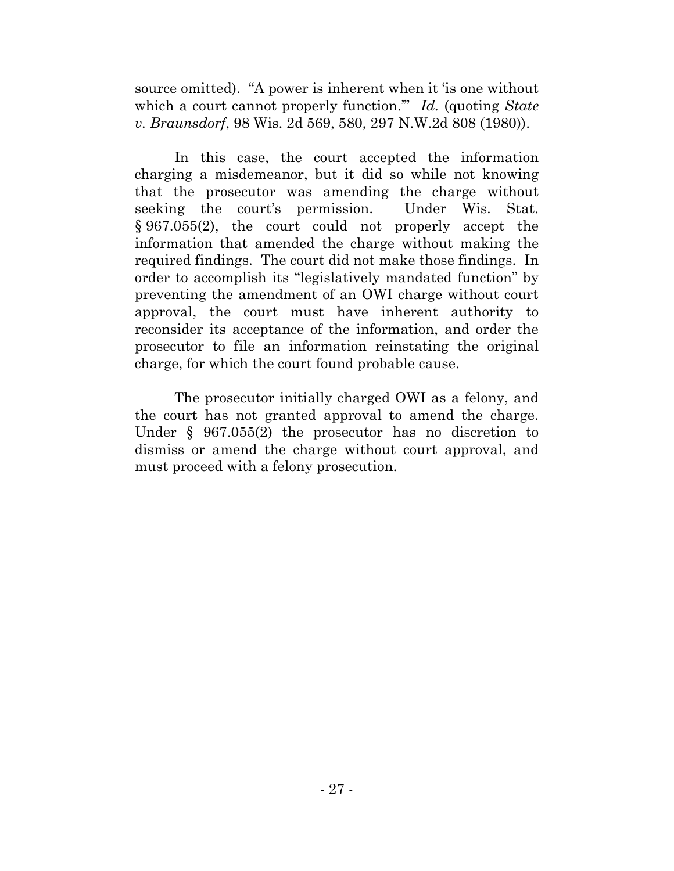source omitted). "A power is inherent when it 'is one without which a court cannot properly function.'" *Id.* (quoting *State v. Braunsdorf*, 98 Wis. 2d 569, 580, 297 N.W.2d 808 (1980)).

In this case, the court accepted the information charging a misdemeanor, but it did so while not knowing that the prosecutor was amending the charge without seeking the court's permission. Under Wis. Stat. § 967.055(2), the court could not properly accept the information that amended the charge without making the required findings. The court did not make those findings. In order to accomplish its "legislatively mandated function" by preventing the amendment of an OWI charge without court approval, the court must have inherent authority to reconsider its acceptance of the information, and order the prosecutor to file an information reinstating the original charge, for which the court found probable cause.

The prosecutor initially charged OWI as a felony, and the court has not granted approval to amend the charge. Under § 967.055(2) the prosecutor has no discretion to dismiss or amend the charge without court approval, and must proceed with a felony prosecution.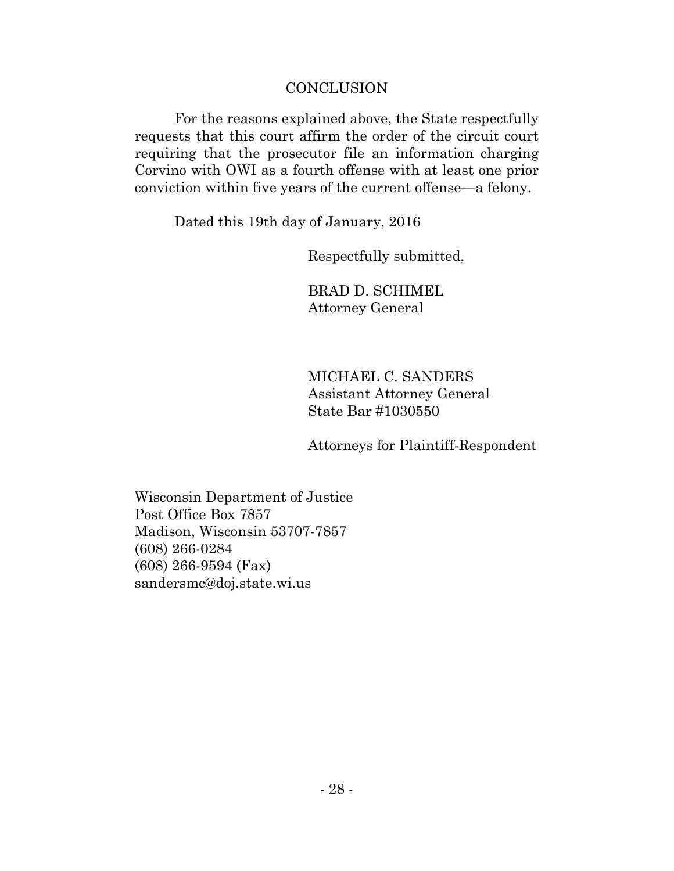### **CONCLUSION**

For the reasons explained above, the State respectfully requests that this court affirm the order of the circuit court requiring that the prosecutor file an information charging Corvino with OWI as a fourth offense with at least one prior conviction within five years of the current offense—a felony.

Dated this 19th day of January, 2016

Respectfully submitted,

BRAD D. SCHIMEL Attorney General

MICHAEL C. SANDERS Assistant Attorney General State Bar #1030550

Attorneys for Plaintiff-Respondent

Wisconsin Department of Justice Post Office Box 7857 Madison, Wisconsin 53707-7857 (608) 266-0284 (608) 266-9594 (Fax) [sandersmc@doj.state.wi.us](mailto:sandersmc@doj.state.wi.us)